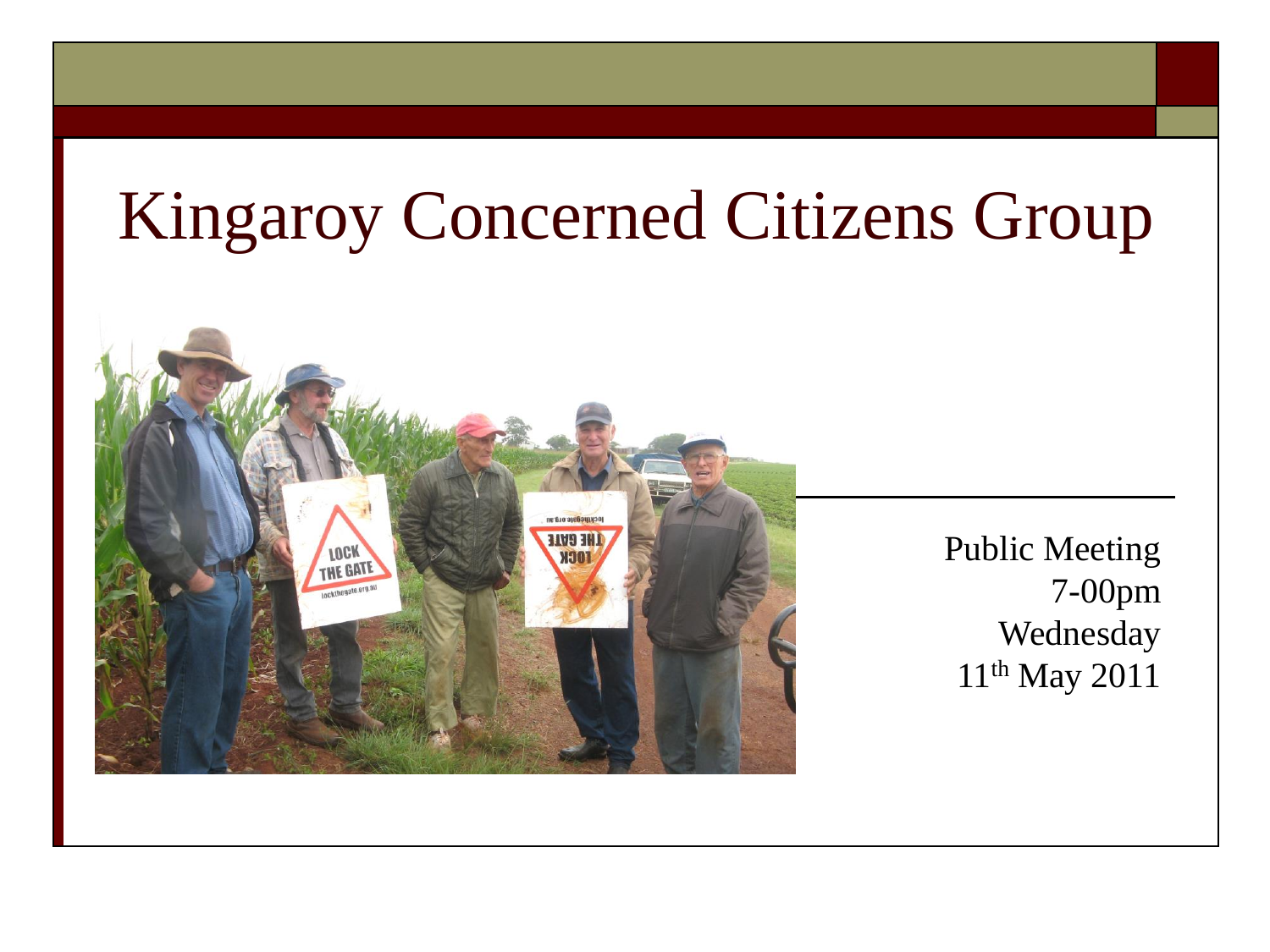### Kingaroy Concerned Citizens Group



Public Meeting 7-00pm Wednesday 11th May 2011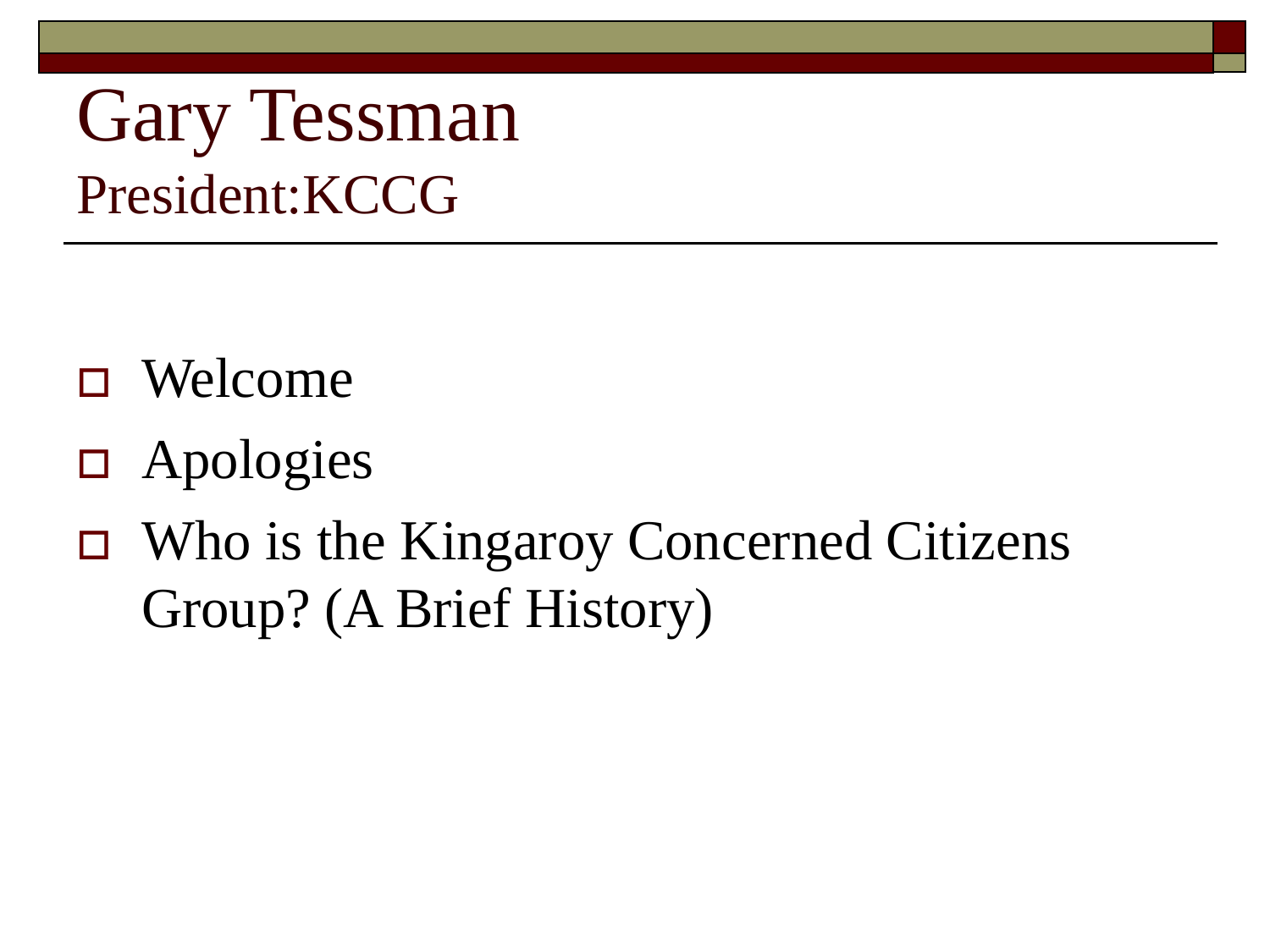### Gary Tessman President:KCCG

- Welcome
- Apologies
- Who is the Kingaroy Concerned Citizens Group? (A Brief History)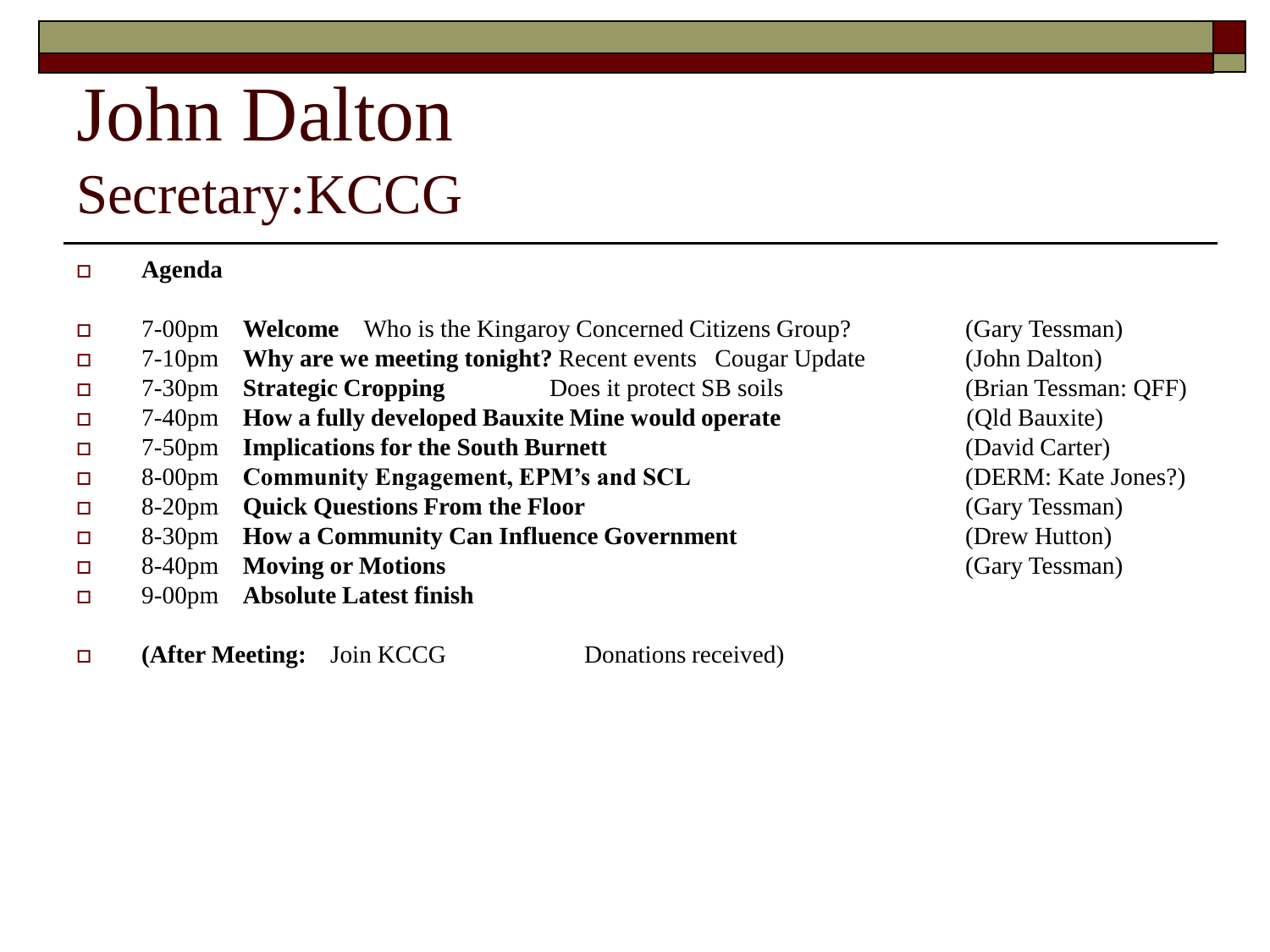### John Dalton Secretary:KCCG

#### **Agenda**

- 7-00pm **Welcome** Who is the Kingaroy Concerned Citizens Group? (Gary Tessman)
- 7-10pm **Why are we meeting tonight?** Recent events Cougar Update (John Dalton)
- 7-30pm **Strategic Cropping** Does it protect SB soils (Brian Tessman: QFF)
- 7-40pm **How a fully developed Bauxite Mine would operate** (Qld Bauxite)
- 7-50pm **Implications for the South Burnett** (David Carter)
- 8-00pm **Community Engagement, EPM's and SCL** (DERM: Kate Jones?)
- 8-20pm **Quick Questions From the Floor** (Gary Tessman)
- 8-30pm **How a Community Can Influence Government** (Drew Hutton)
- 8-40pm **Moving or Motions** (Gary Tessman)
- 9-00pm **Absolute Latest finish**
- $\Box$  (After Meeting: Join KCCG Donations received)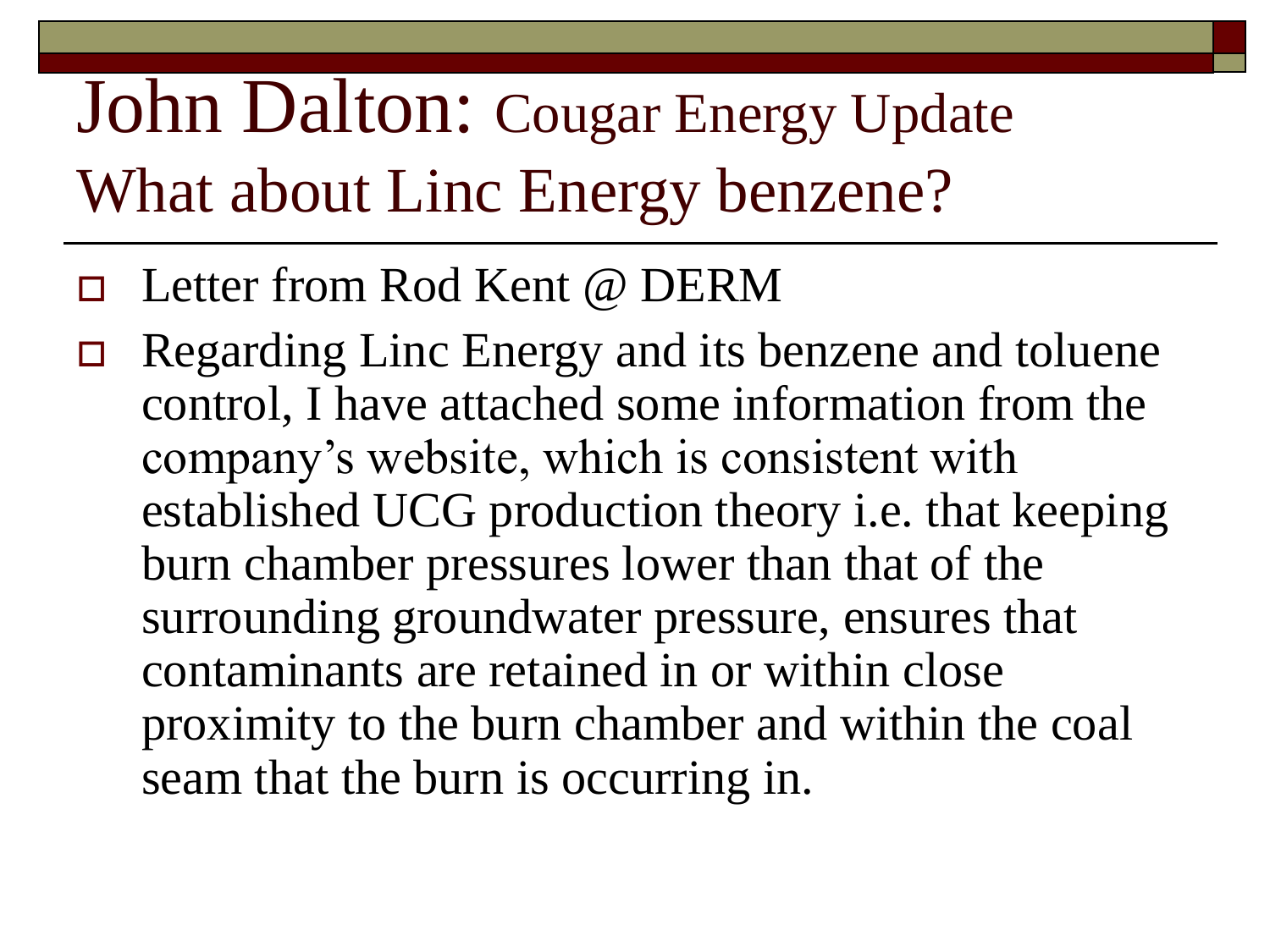### John Dalton: Cougar Energy Update What about Linc Energy benzene?

- Letter from Rod Kent @ DERM
- Regarding Linc Energy and its benzene and toluene control, I have attached some information from the company's website, which is consistent with established UCG production theory i.e. that keeping burn chamber pressures lower than that of the surrounding groundwater pressure, ensures that contaminants are retained in or within close proximity to the burn chamber and within the coal seam that the burn is occurring in.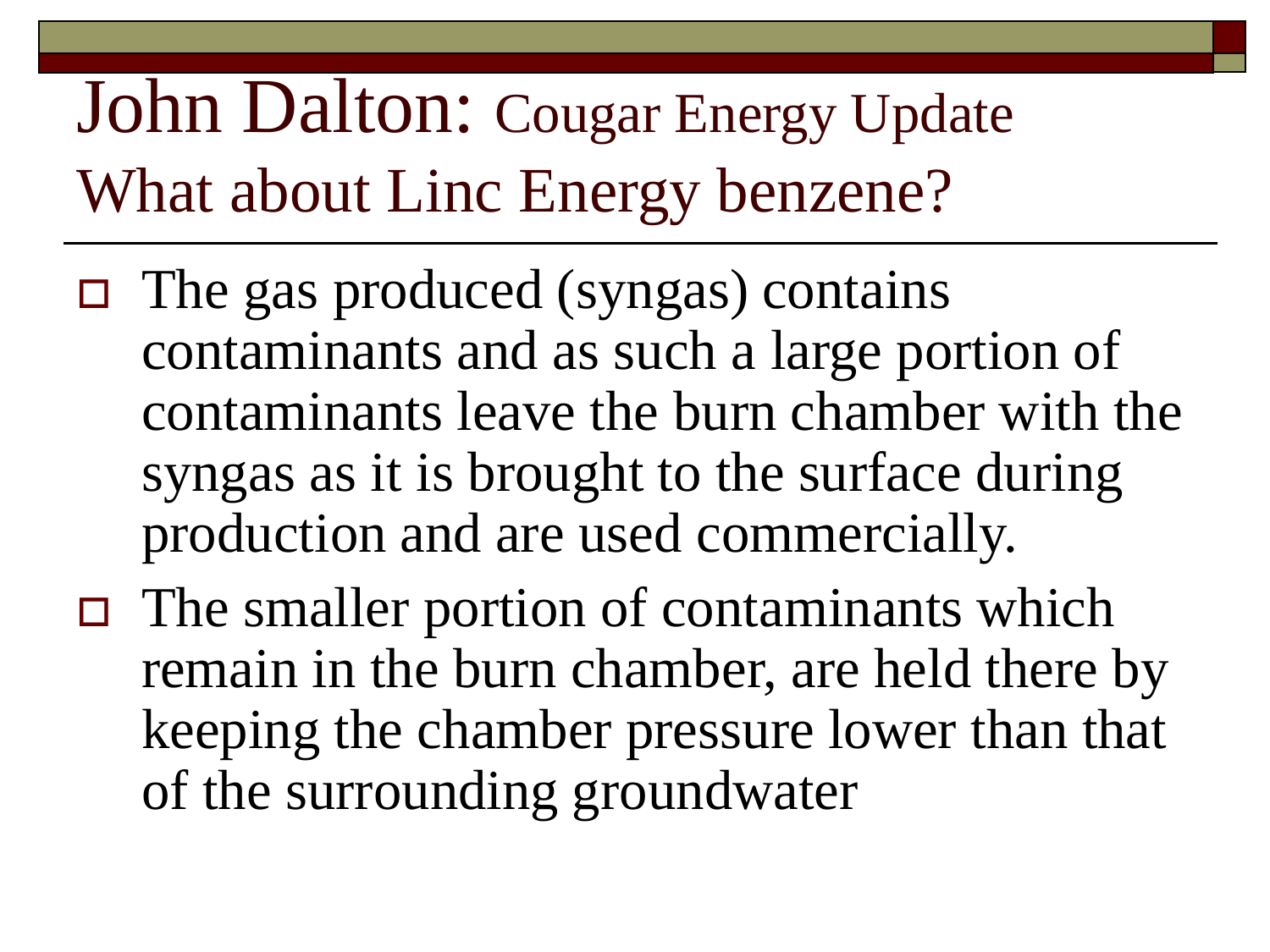### John Dalton: Cougar Energy Update What about Linc Energy benzene?

- $\Box$  The gas produced (syngas) contains contaminants and as such a large portion of contaminants leave the burn chamber with the syngas as it is brought to the surface during production and are used commercially.
- $\Box$  The smaller portion of contaminants which remain in the burn chamber, are held there by keeping the chamber pressure lower than that of the surrounding groundwater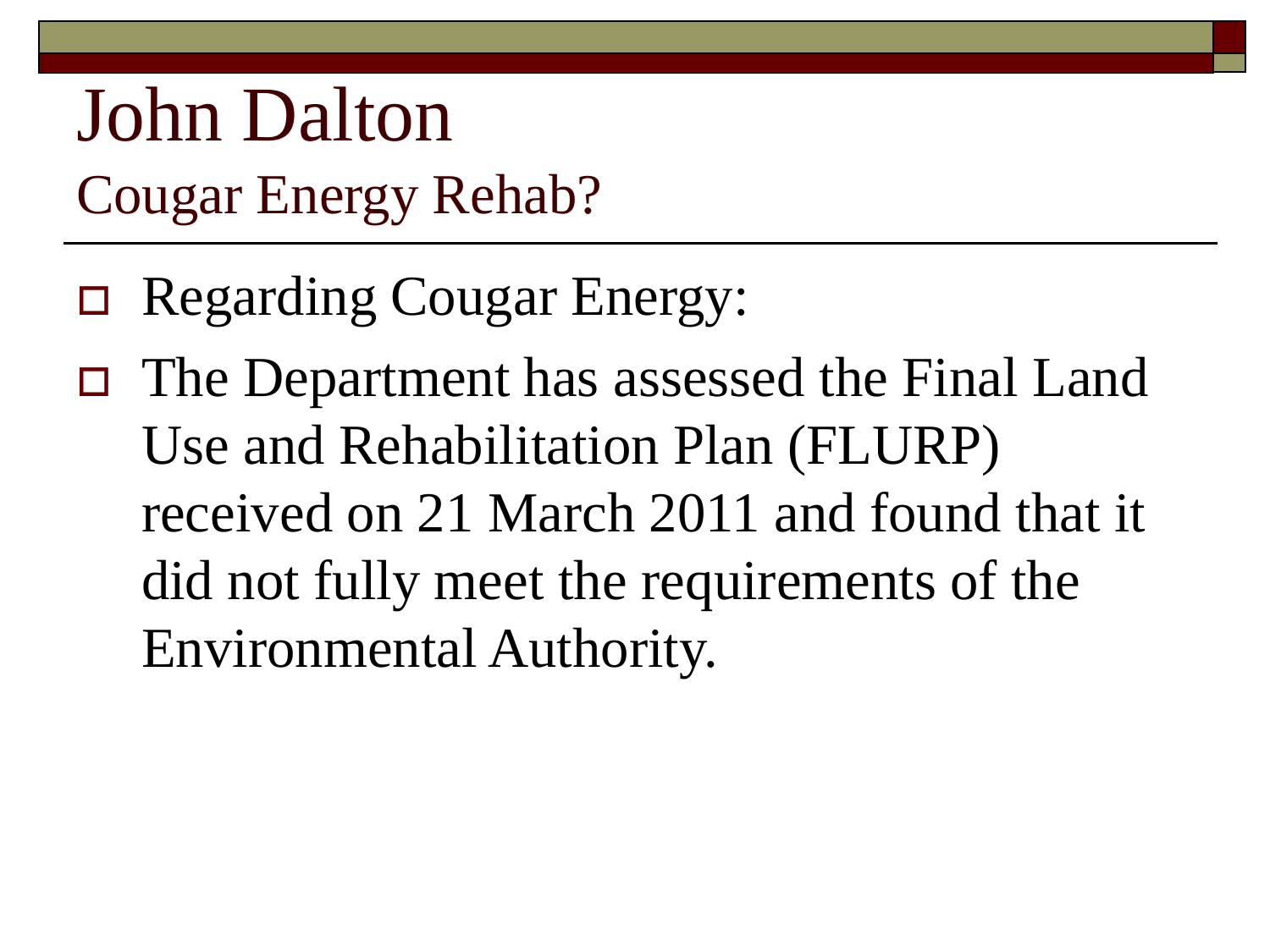### John Dalton Cougar Energy Rehab?

- Regarding Cougar Energy:
- The Department has assessed the Final Land Use and Rehabilitation Plan (FLURP) received on 21 March 2011 and found that it did not fully meet the requirements of the Environmental Authority.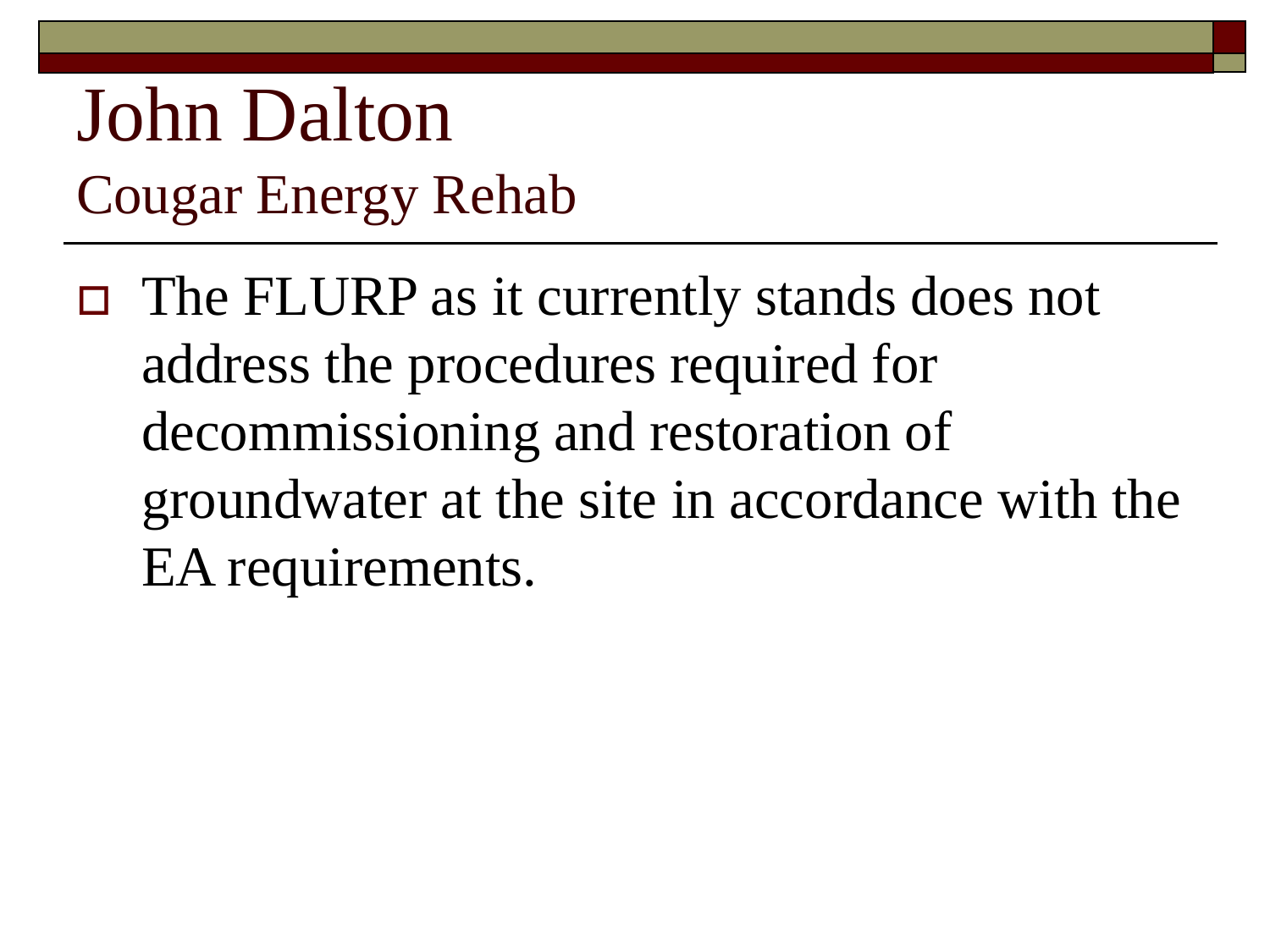### John Dalton Cougar Energy Rehab

 $\Box$  The FLURP as it currently stands does not address the procedures required for decommissioning and restoration of groundwater at the site in accordance with the EA requirements.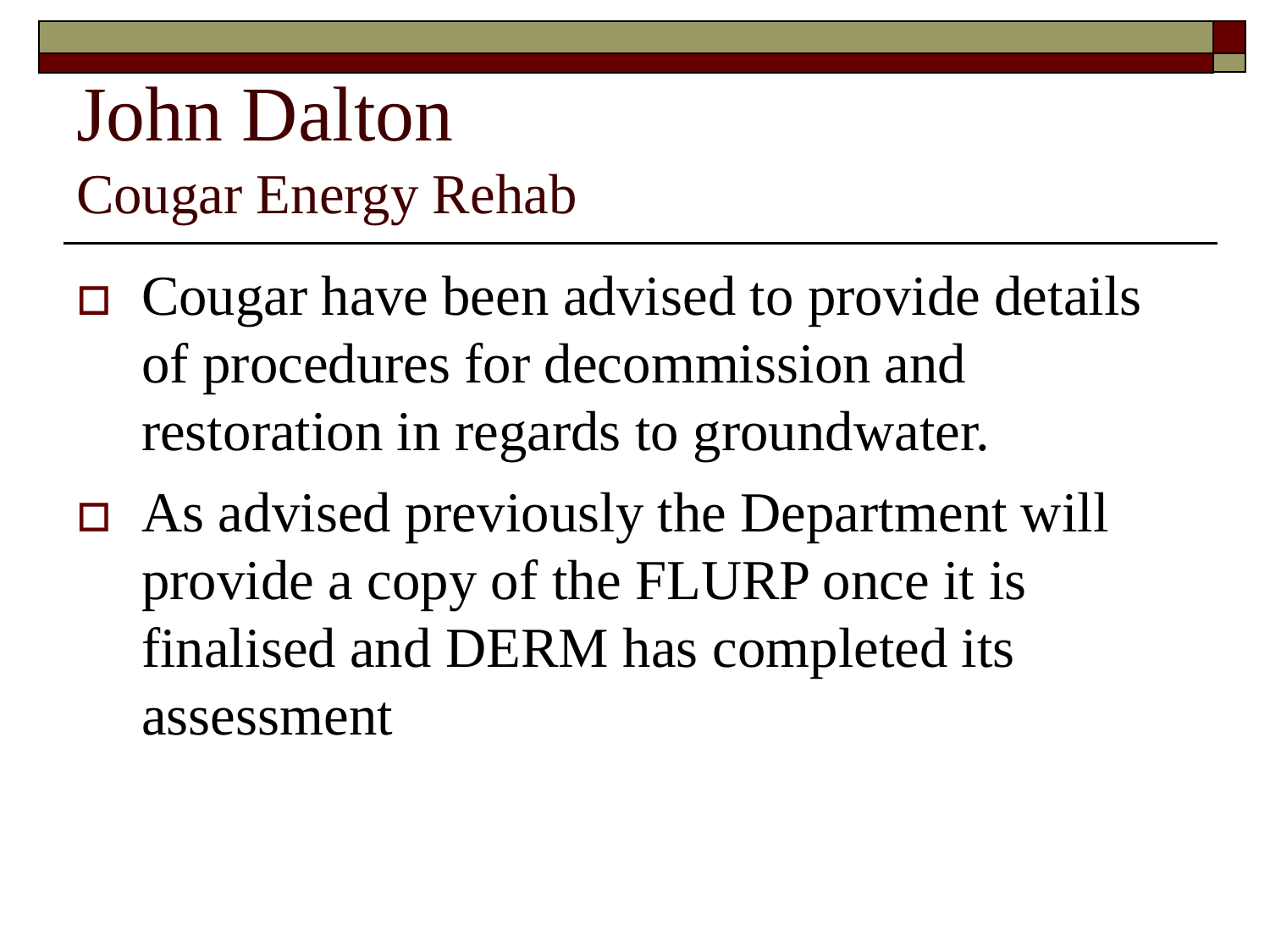### John Dalton Cougar Energy Rehab

- $\Box$  Cougar have been advised to provide details of procedures for decommission and restoration in regards to groundwater.
- As advised previously the Department will provide a copy of the FLURP once it is finalised and DERM has completed its assessment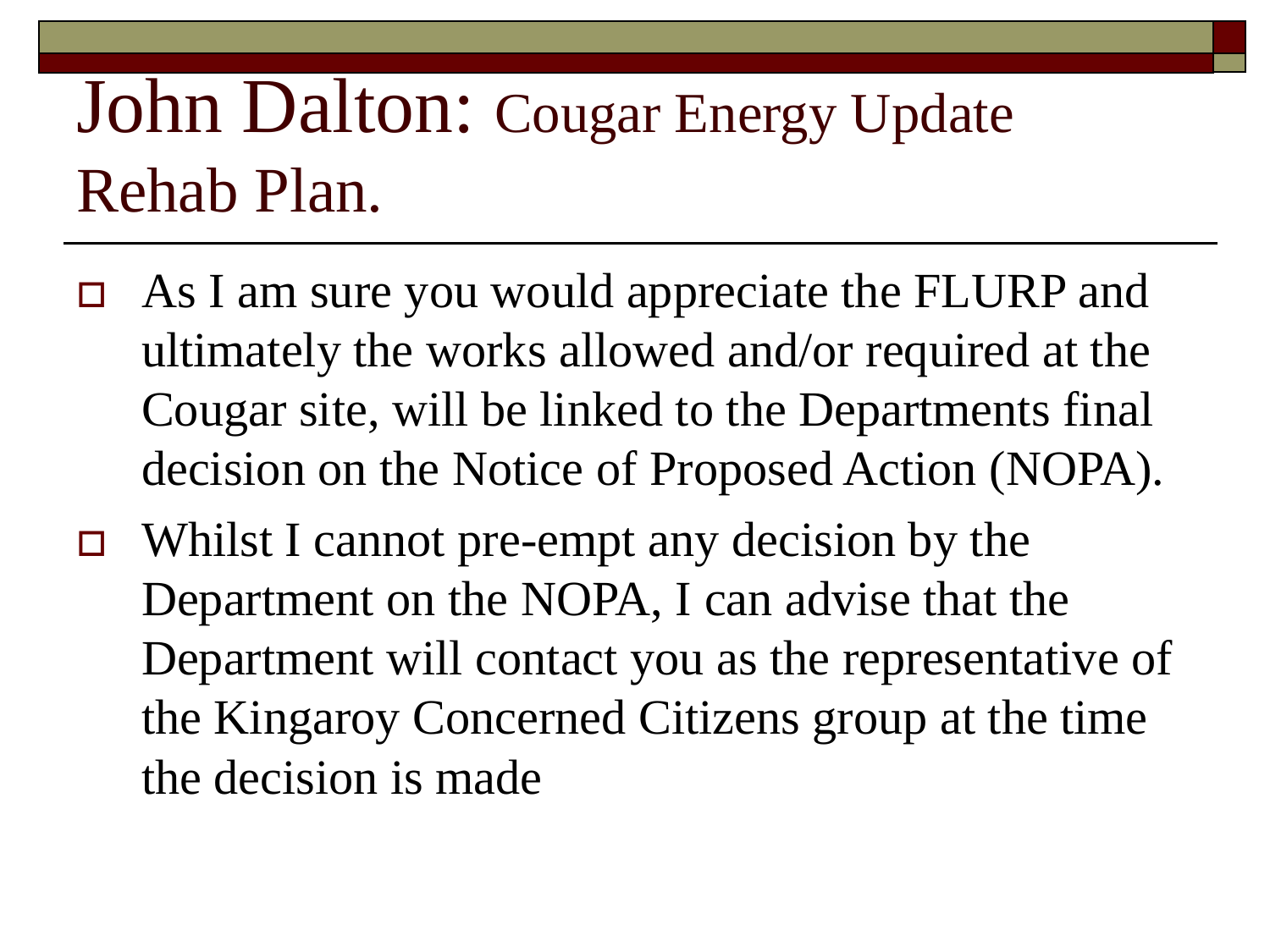### John Dalton: Cougar Energy Update Rehab Plan.

- □ As I am sure you would appreciate the FLURP and ultimately the works allowed and/or required at the Cougar site, will be linked to the Departments final decision on the Notice of Proposed Action (NOPA).
- $\Box$  Whilst I cannot pre-empt any decision by the Department on the NOPA, I can advise that the Department will contact you as the representative of the Kingaroy Concerned Citizens group at the time the decision is made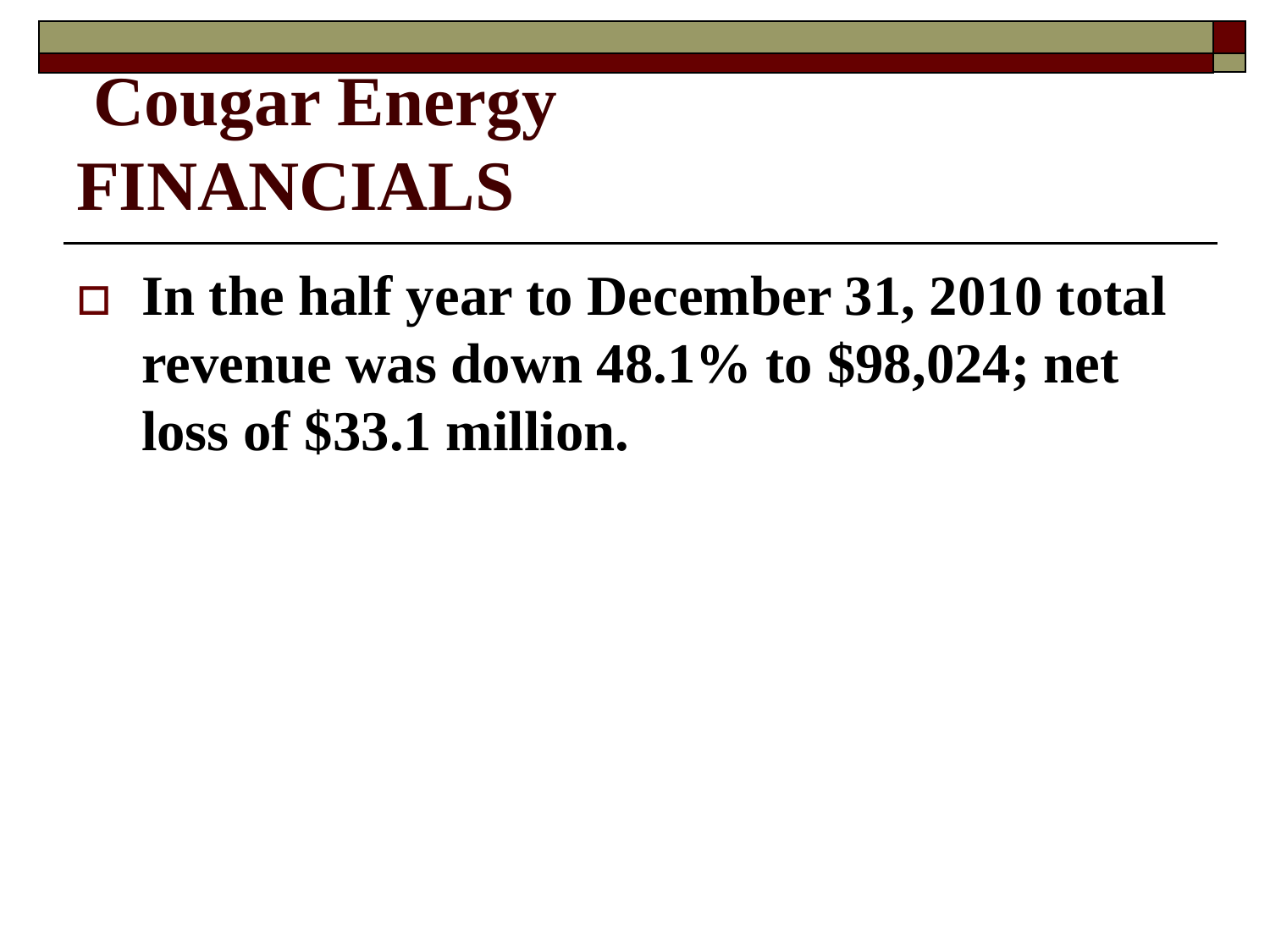## **Cougar Energy FINANCIALS**

 **In the half year to December 31, 2010 total revenue was down 48.1% to \$98,024; net loss of \$33.1 million.**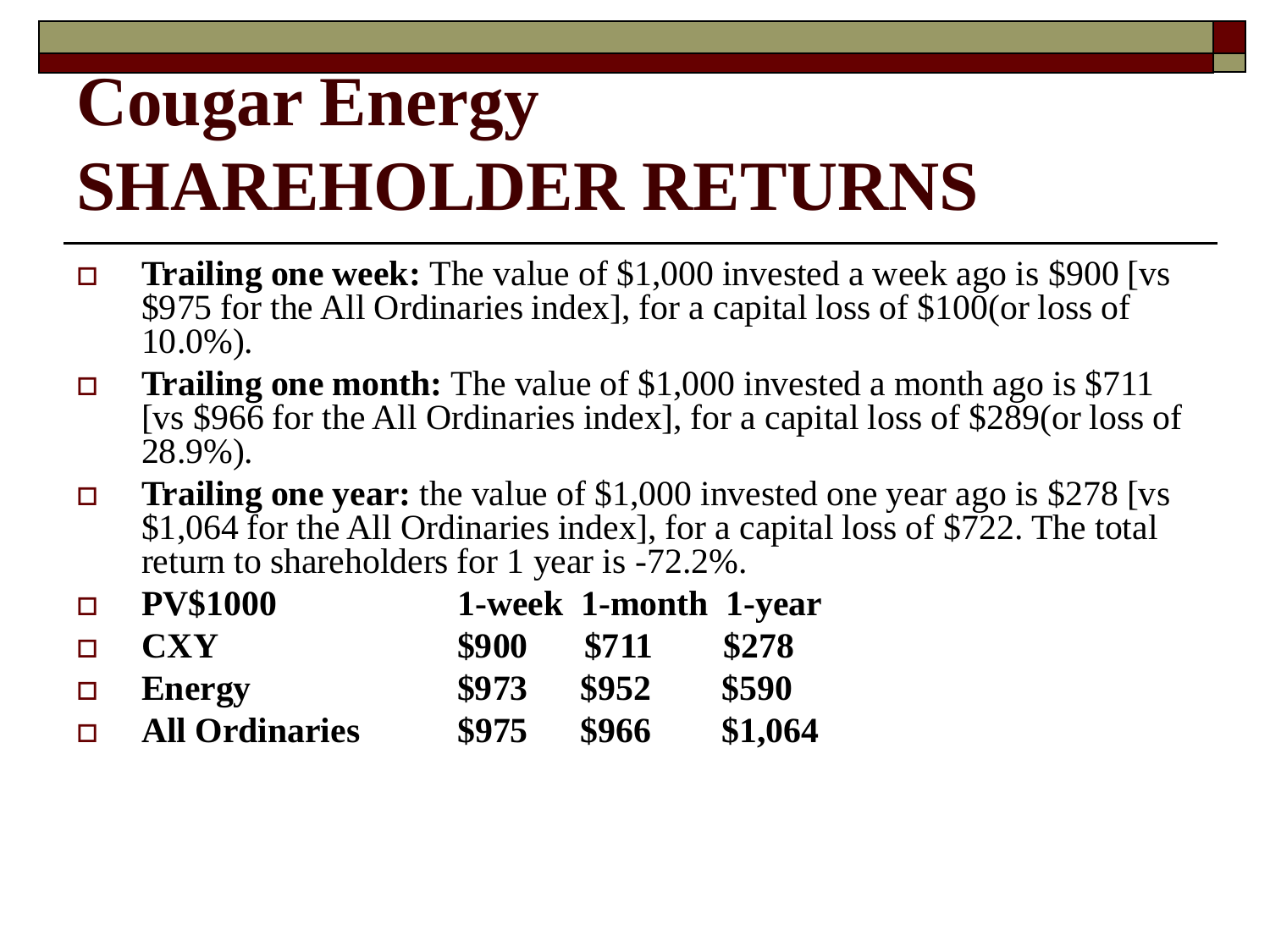# **Cougar Energy SHAREHOLDER RETURNS**

- **Trailing one week:** The value of \$1,000 invested a week ago is \$900 [vs \$975 for the All Ordinaries index], for a capital loss of  $$10\bar{0}$ (or loss of 10.0%).
- **Trailing one month:** The value of \$1,000 invested a month ago is \$711 [vs \$966 for the All Ordinaries index], for a capital loss of \$289(or loss of 28.9%).
- **Trailing one year:** the value of \$1,000 invested one year ago is \$278 [vs] \$1,064 for the All Ordinaries index], for a capital loss of \$722. The total return to shareholders for 1 year is -72.2%.

| $\Box$ | <b>PV\$1000</b>       |       | 1-week 1-month 1-year |         |
|--------|-----------------------|-------|-----------------------|---------|
| $\Box$ | <b>CXY</b>            | \$900 | <b>\$711</b>          | \$278   |
|        | $\Box$ Energy         | \$973 | \$952                 | \$590   |
| $\Box$ | <b>All Ordinaries</b> | \$975 | \$966                 | \$1,064 |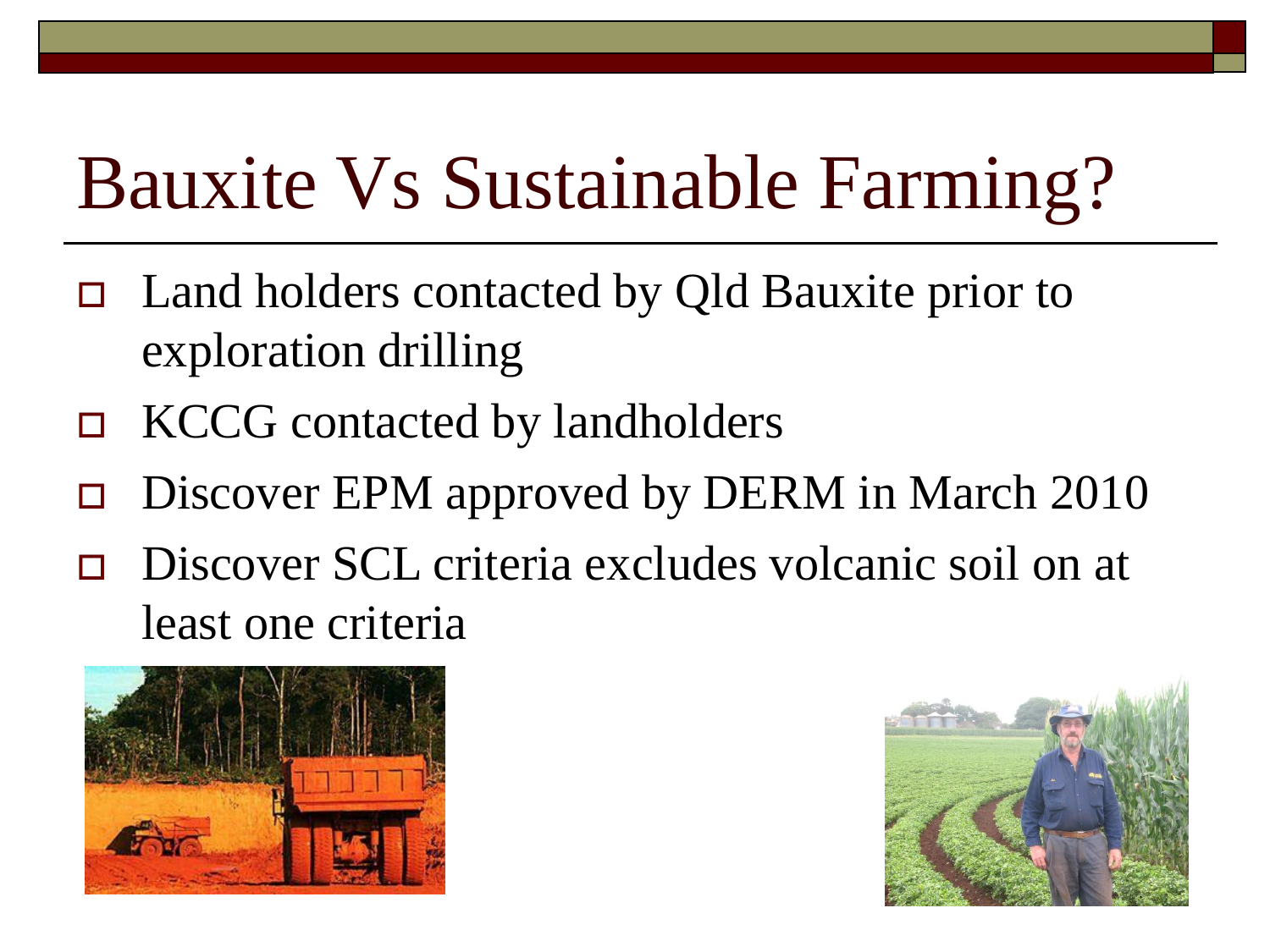- Land holders contacted by Qld Bauxite prior to exploration drilling
- KCCG contacted by landholders
- $\Box$  Discover EPM approved by DERM in March 2010
- Discover SCL criteria excludes volcanic soil on at least one criteria



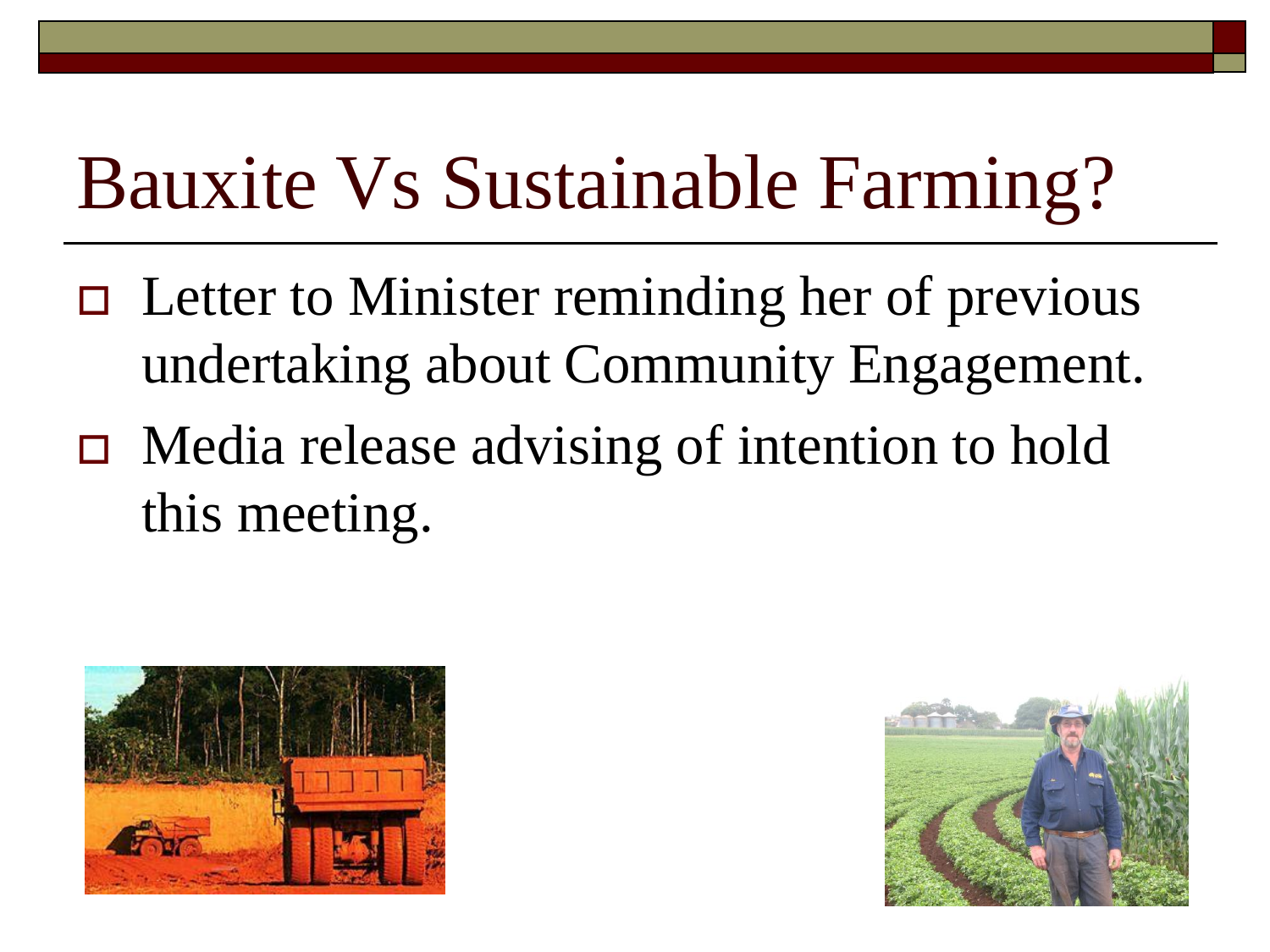- $\Box$  Letter to Minister reminding her of previous undertaking about Community Engagement.
- Media release advising of intention to hold this meeting.



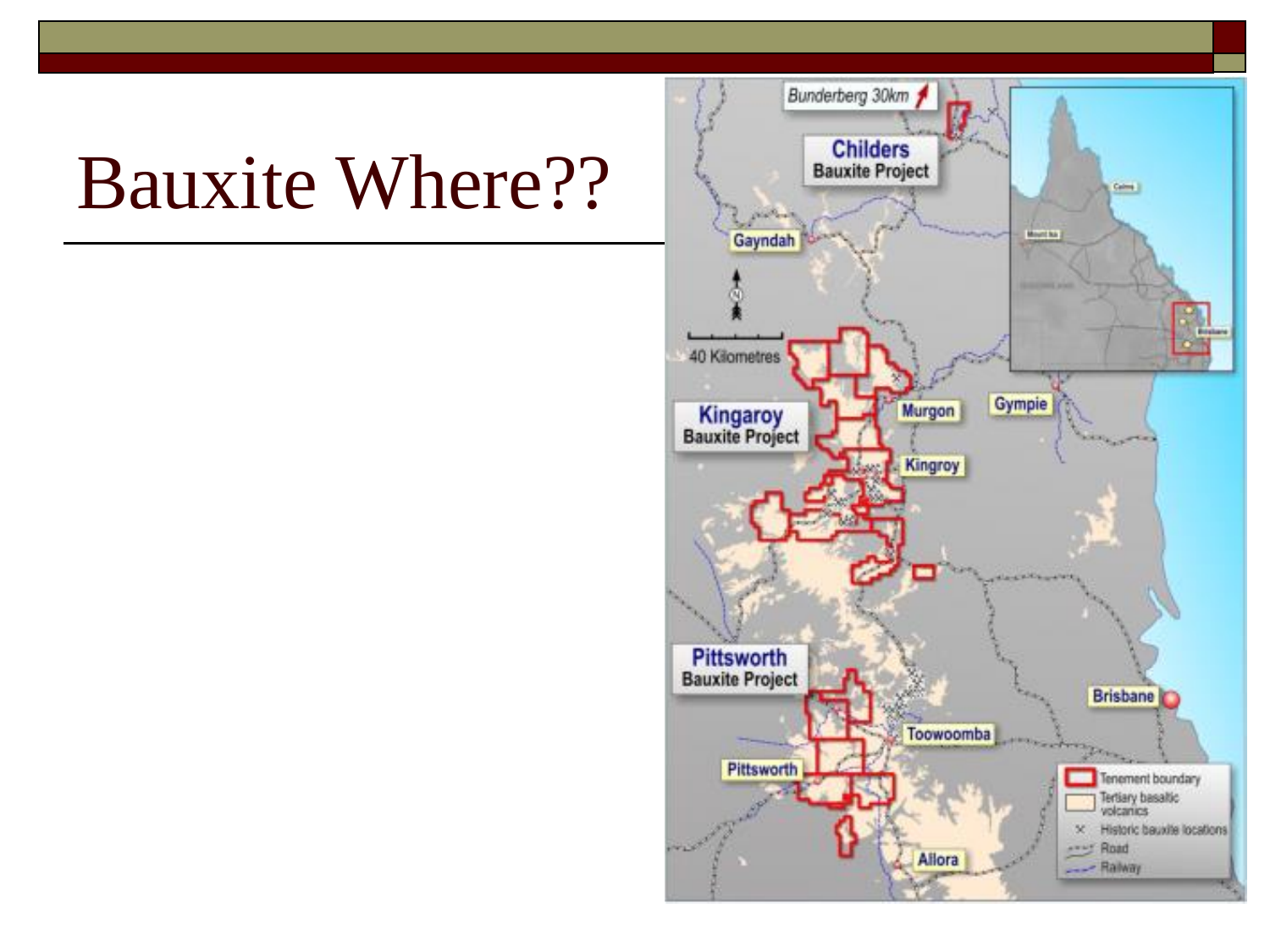## Bauxite Where??

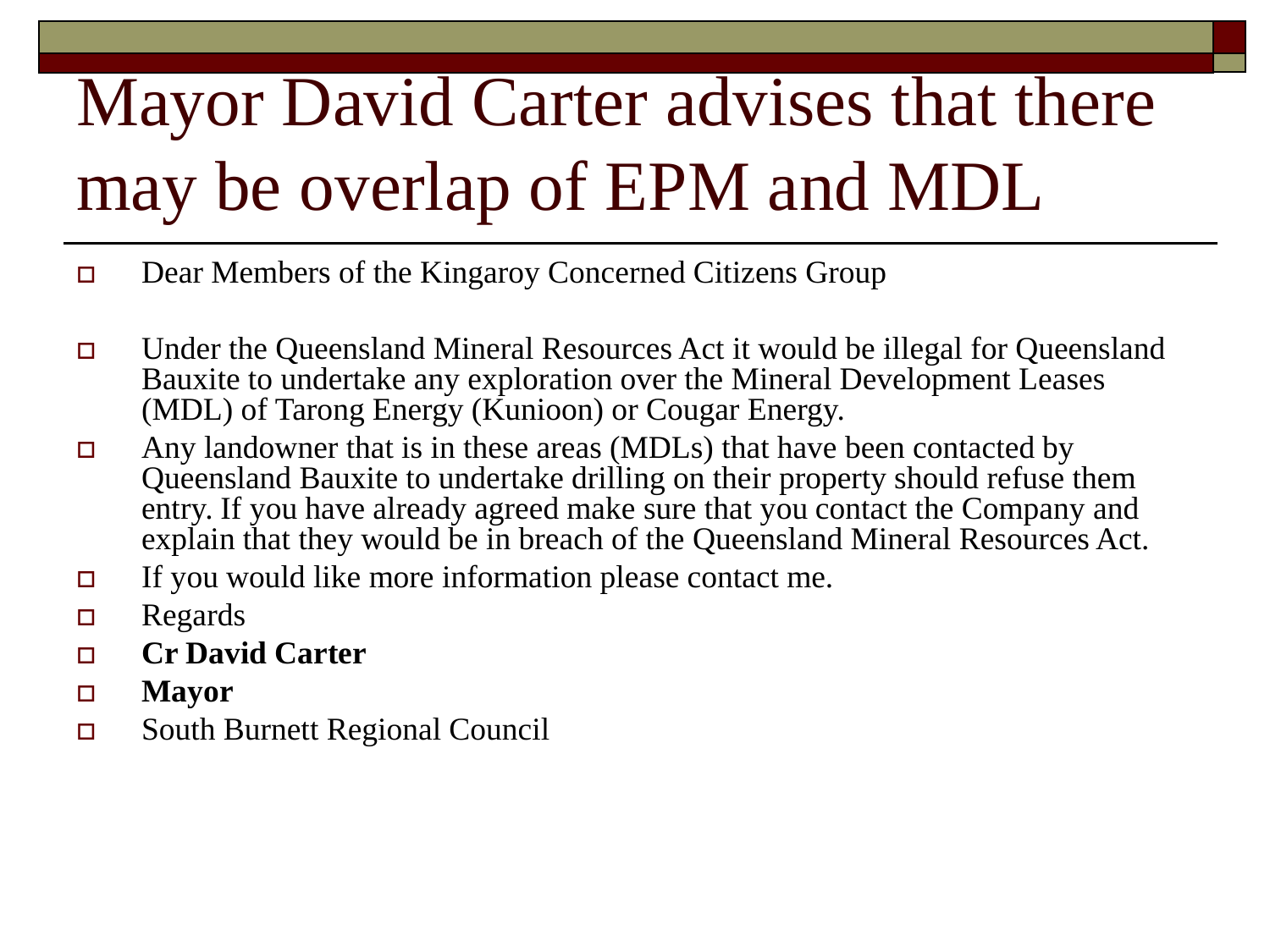# Mayor David Carter advises that there may be overlap of EPM and MDL

- Dear Members of the Kingaroy Concerned Citizens Group
- Under the Queensland Mineral Resources Act it would be illegal for Queensland Bauxite to undertake any exploration over the Mineral Development Leases (MDL) of Tarong Energy (Kunioon) or Cougar Energy.
- $\Box$  Any landowner that is in these areas (MDLs) that have been contacted by Queensland Bauxite to undertake drilling on their property should refuse them entry. If you have already agreed make sure that you contact the Company and explain that they would be in breach of the Queensland Mineral Resources Act.
- If you would like more information please contact me.
- $\Box$  Regards
- **Cr David Carter**
- **Mayor**
- South Burnett Regional Council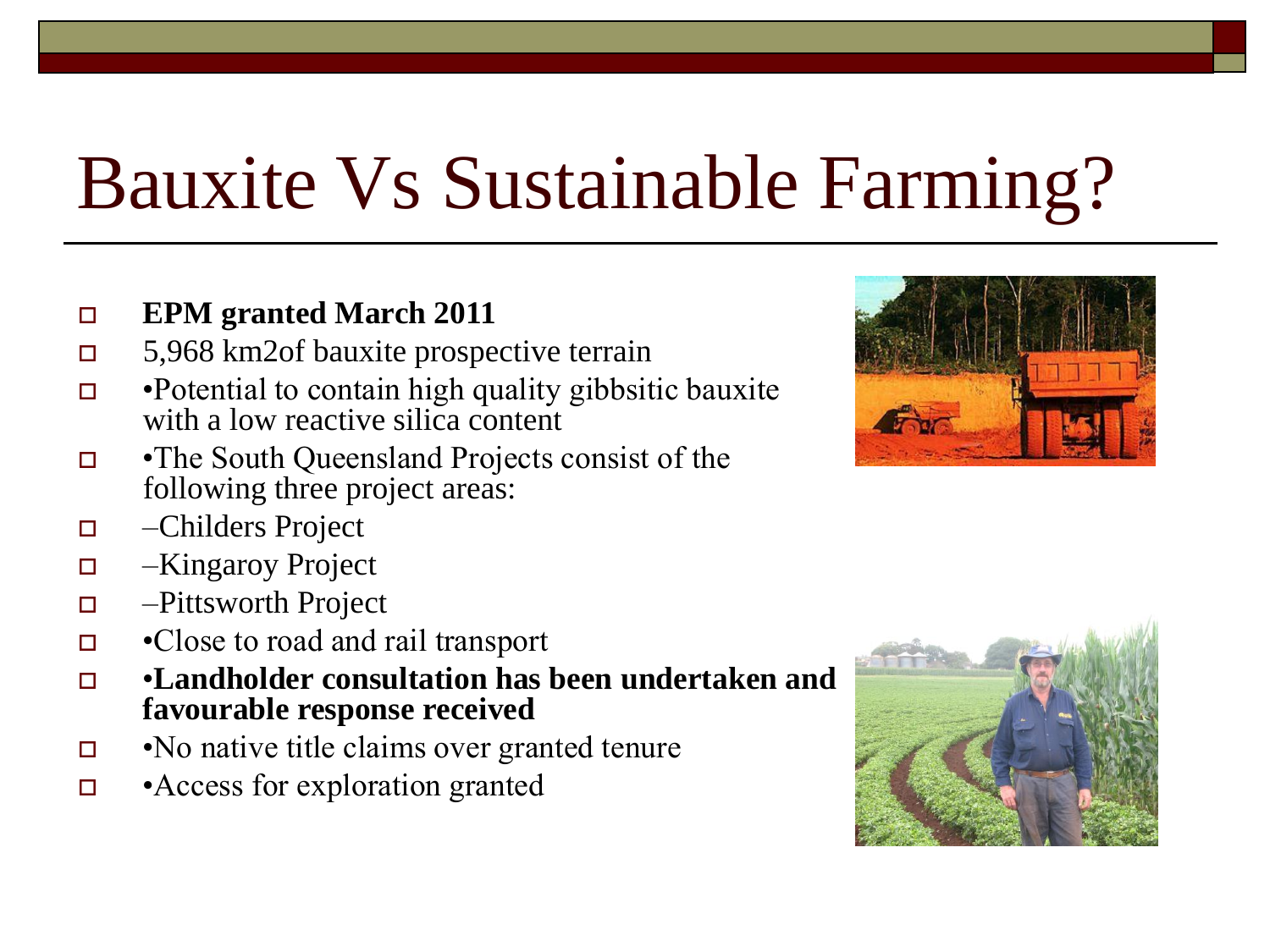#### **EPM** granted March 2011

- 5,968 km2of bauxite prospective terrain
- $\Box$  •Potential to contain high quality gibbsitic bauxite with a low reactive silica content
- •The South Queensland Projects consist of the following three project areas:
- –Childers Project
- –Kingaroy Project
- –Pittsworth Project
- •Close to road and rail transport
- •**Landholder consultation has been undertaken and favourable response received**
- $\Box$  •No native title claims over granted tenure
- •Access for exploration granted



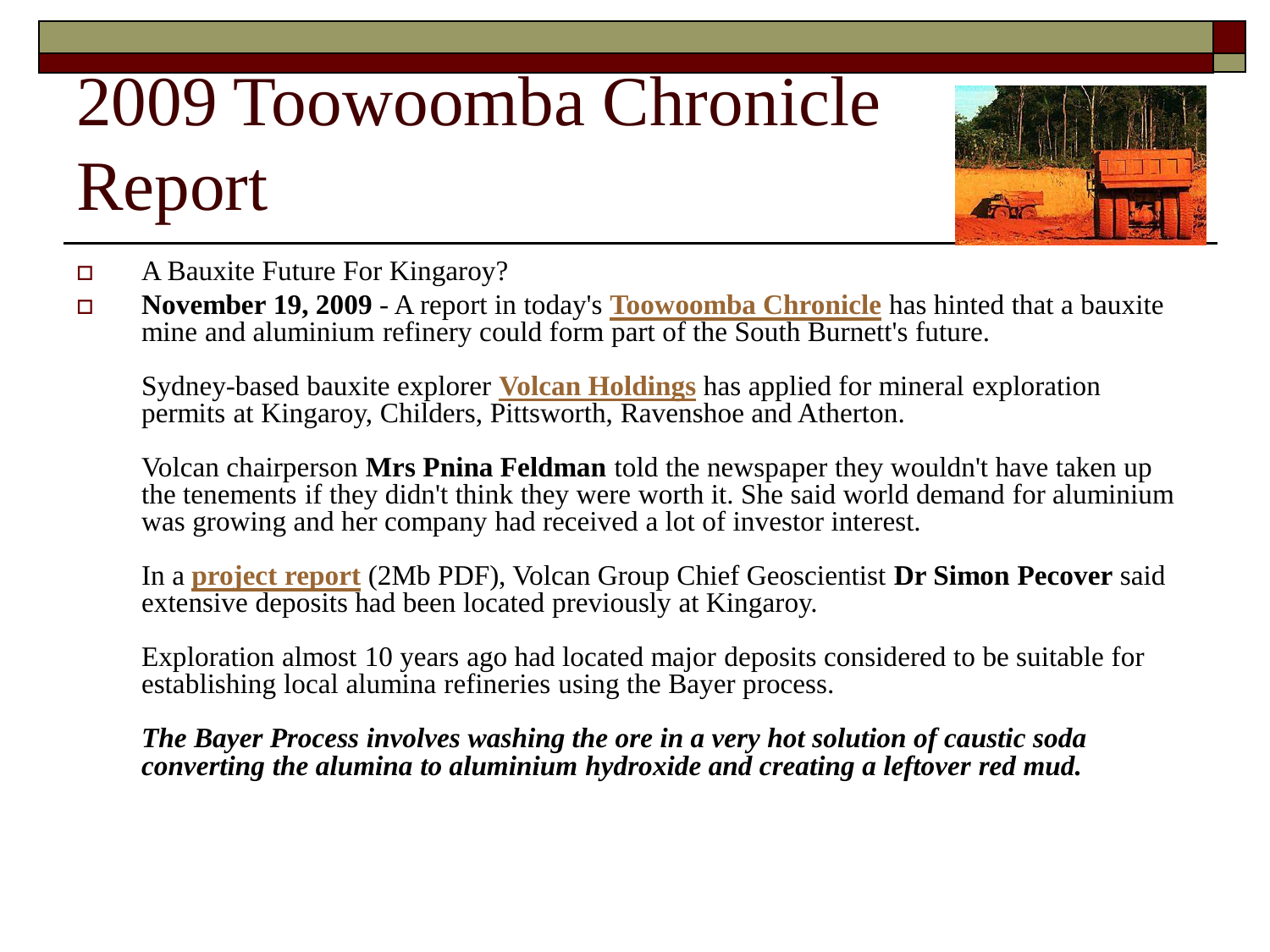## 2009 Toowoomba Chronicle Report



- A Bauxite Future For Kingaroy?
- **November 19, 2009** A report in today's **[Toowoomba Chronicle](http://www.thechronicle.com.au/story/2009/11/19/miner-set-to-dig-deep-on-downs-for-bauxite)** has hinted that a bauxite mine and aluminium refinery could form part of the South Burnett's future.

Sydney-based bauxite explorer **[Volcan Holdings](http://www.volcan.com.au/)** has applied for mineral exploration permits at Kingaroy, Childers, Pittsworth, Ravenshoe and Atherton.

Volcan chairperson **Mrs Pnina Feldman** told the newspaper they wouldn't have taken up the tenements if they didn't think they were worth it. She said world demand for aluminium was growing and her company had received a lot of investor interest.

In a **[project report](http://www.volcan.com.au/SiteMedia/w3svc865/Uploads/Documents/Qld Bauxite Report.pdf - Adobe Acrobat Professional.pdf)** (2Mb PDF), Volcan Group Chief Geoscientist **Dr Simon Pecover** said extensive deposits had been located previously at Kingaroy.

Exploration almost 10 years ago had located major deposits considered to be suitable for establishing local alumina refineries using the Bayer process.

*The Bayer Process involves washing the ore in a very hot solution of caustic soda converting the alumina to aluminium hydroxide and creating a leftover red mud.*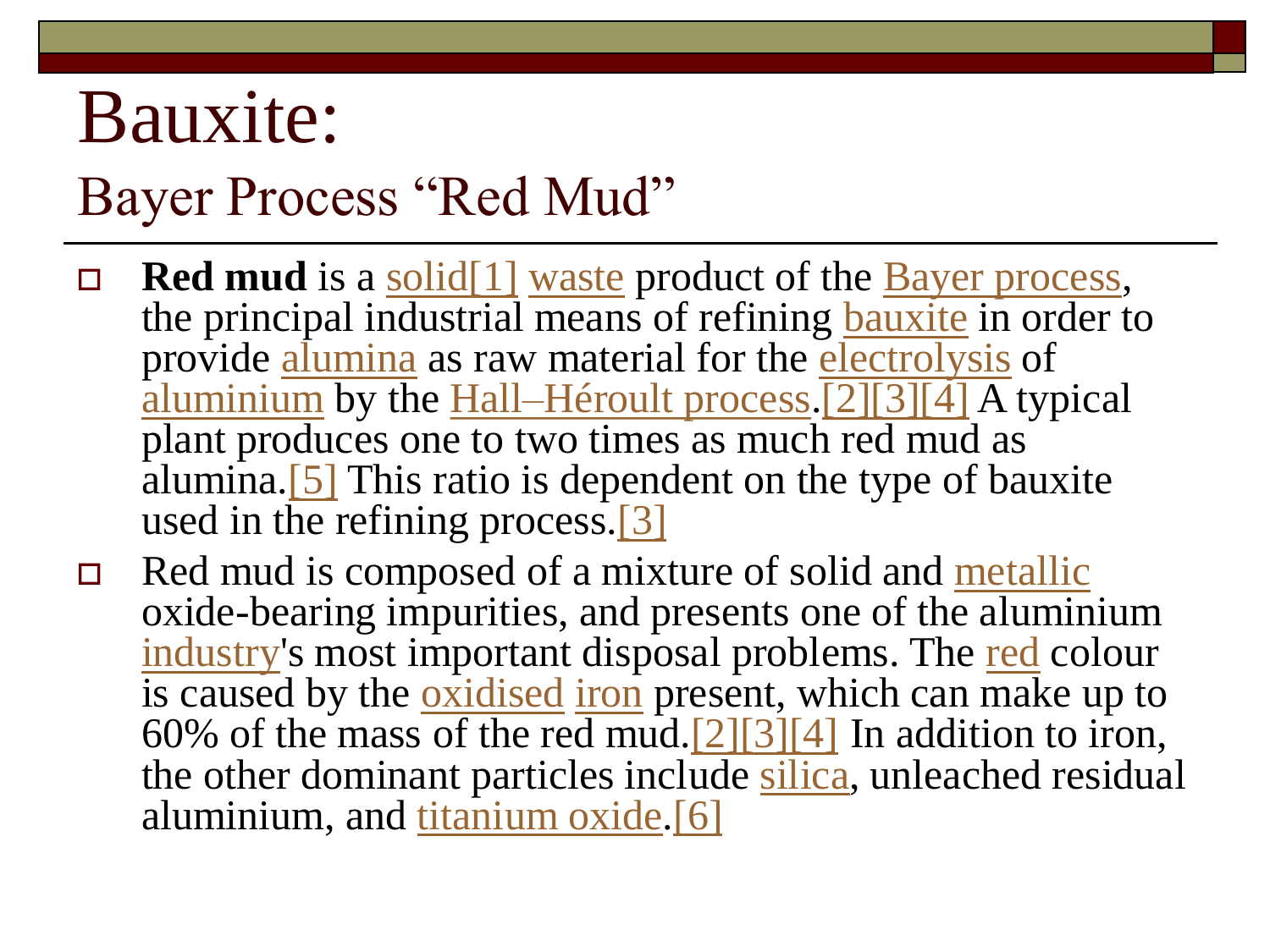### Bauxite:

#### Bayer Process "Red Mud"

- □ **Red mud** is a solid<sup>[1]</sup> [waste](http://en.wikipedia.org/wiki/Waste) product of the <u>[Bayer process](http://en.wikipedia.org/wiki/Bayer_process)</u>, the principal industrial means of refining [bauxite](http://en.wikipedia.org/wiki/Bauxite) in order to provide [alumina](http://en.wikipedia.org/wiki/Alumina) as raw material for the [electrolysis](http://en.wikipedia.org/wiki/Electrolysis) of [aluminium](http://en.wikipedia.org/wiki/Aluminium) by the [Hall–Héroult process.](http://en.wikipedia.org/wiki/Hall%E2%80%93H%C3%A9roult_process)[\[2\]\[3\]\[4\]](http://en.wikipedia.org/wiki/Red_mud#cite_note-hand-1) A typical plant produces one to two times as much red mud as alumina.  $[5]$  This ratio is dependent on the type of bauxite used in the refining process.<sup>[\[3\]](http://en.wikipedia.org/wiki/Red_mud#cite_note-waste-2)</sup>
- □ Red mud is composed of a mixture of solid and [metallic](http://en.wikipedia.org/wiki/Metal) oxide-bearing impurities, and presents one of the aluminium [industry](http://en.wikipedia.org/wiki/Industry)'s most important disposal problems. The [red](http://en.wikipedia.org/wiki/Red) colour is caused by the *[oxidised](http://en.wikipedia.org/wiki/Oxidised)* [iron](http://en.wikipedia.org/wiki/Iron) present, which can make up to 60% of the mass of the red mud.  $[2][3][4]$  In addition to iron, the other dominant particles include [silica,](http://en.wikipedia.org/wiki/Silica) unleached residual aluminium, and [titanium oxide.](http://en.wikipedia.org/wiki/Titanium_oxide)[\[6\]](http://en.wikipedia.org/wiki/Red_mud#cite_note-5)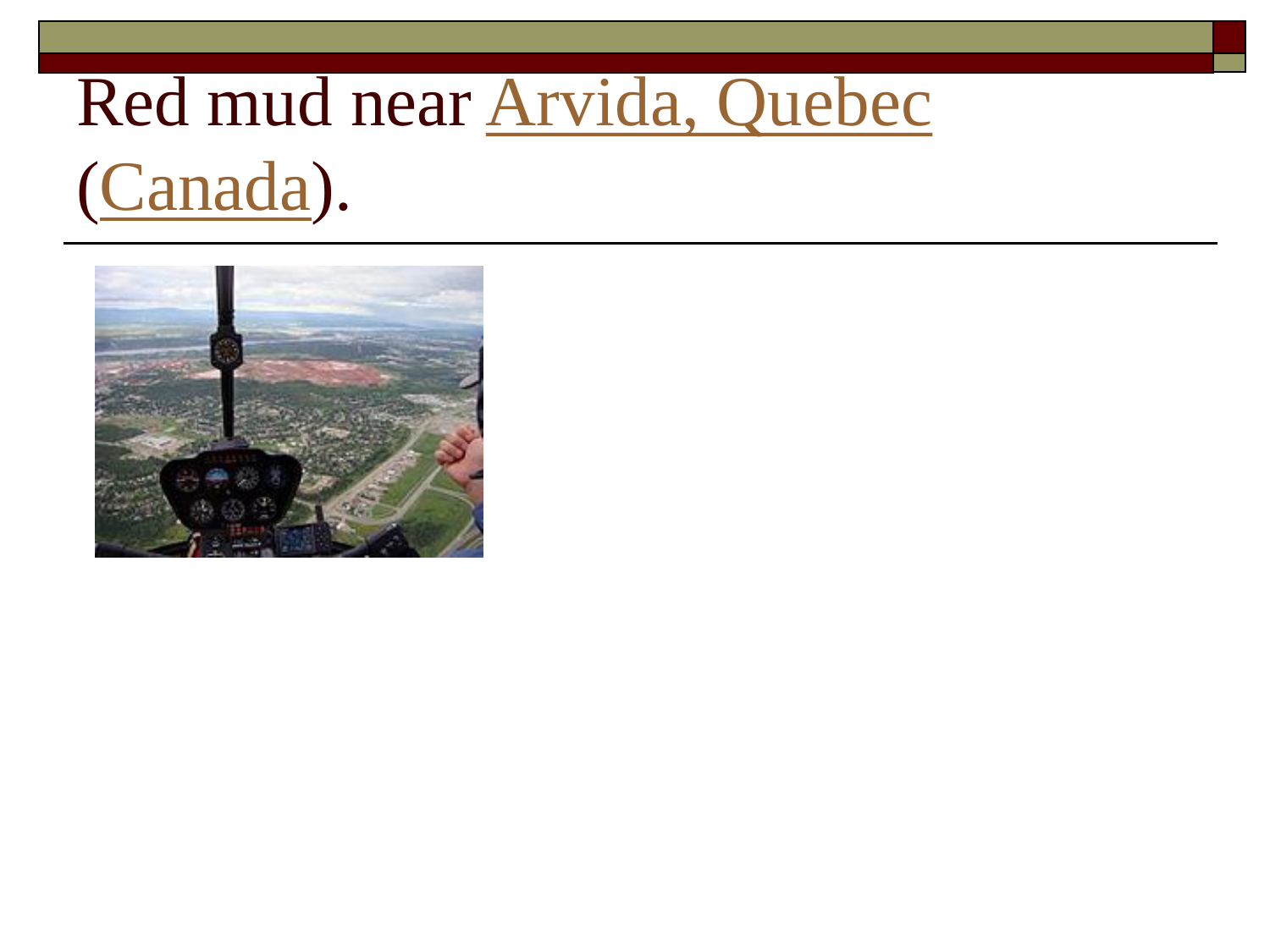# Red mud near [Arvida, Quebec](http://en.wikipedia.org/wiki/Arvida,_Quebec)

### ([Canada\)](http://en.wikipedia.org/wiki/Canada).

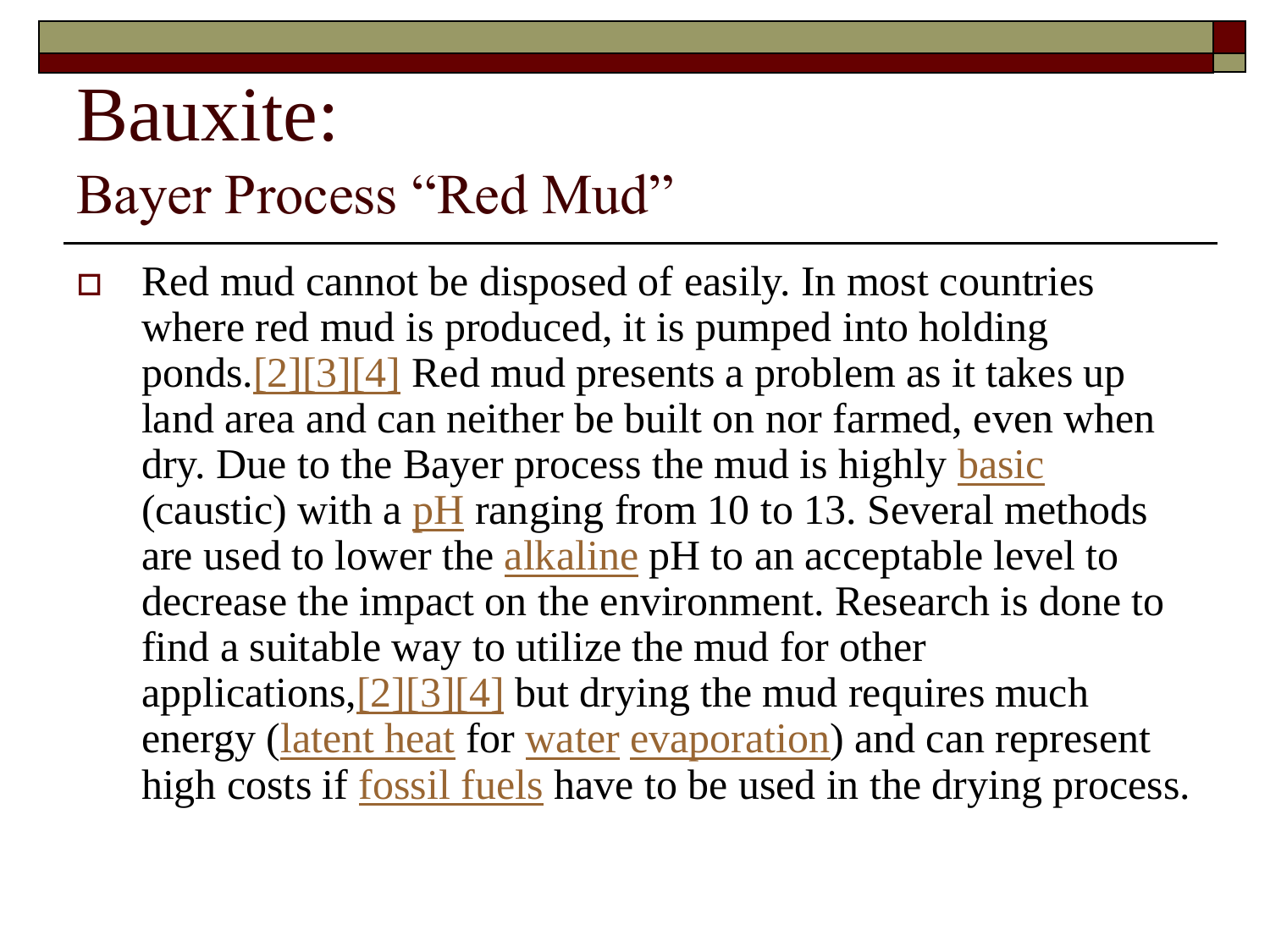### Bauxite:

#### Bayer Process "Red Mud"

 Red mud cannot be disposed of easily. In most countries where red mud is produced, it is pumped into holding ponds.[\[2\]\[3\]\[4\]](http://en.wikipedia.org/wiki/Red_mud#cite_note-hand-1) Red mud presents a problem as it takes up land area and can neither be built on nor farmed, even when dry. Due to the Bayer process the mud is highly [basic](http://en.wikipedia.org/wiki/Base_%28chemistry%29) (caustic) with a  $pH$  ranging from 10 to 13. Several methods are used to lower the [alkaline](http://en.wikipedia.org/wiki/Alkaline) pH to an acceptable level to decrease the impact on the environment. Research is done to find a suitable way to utilize the mud for other applications,  $[2][3][4]$  but drying the mud requires much energy ([latent heat](http://en.wikipedia.org/wiki/Latent_heat) for [water](http://en.wikipedia.org/wiki/Water) [evaporation\)](http://en.wikipedia.org/wiki/Evaporation) and can represent high costs if [fossil fuels](http://en.wikipedia.org/wiki/Fossil_fuel) have to be used in the drying process.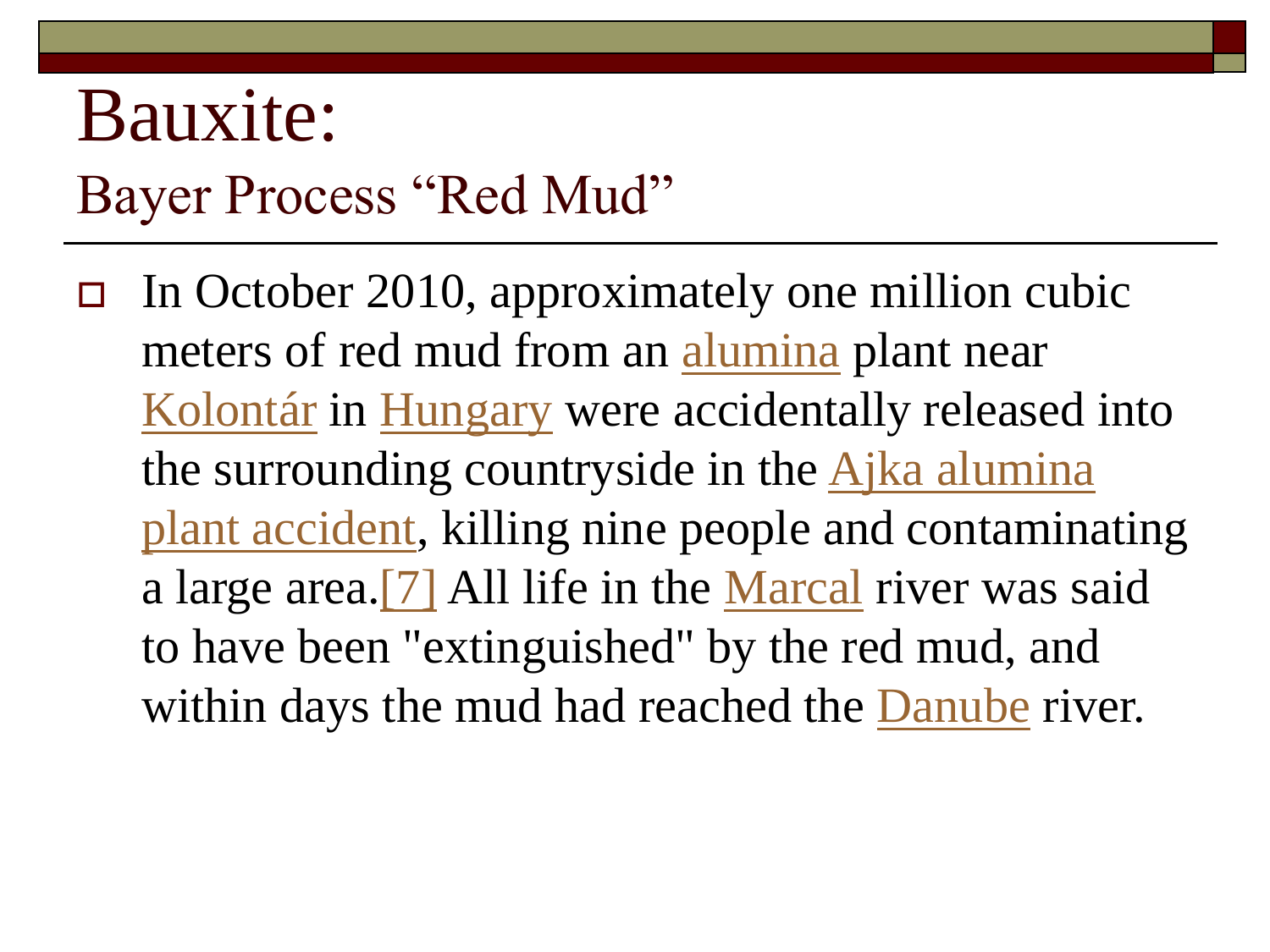### Bauxite: Bayer Process "Red Mud"

 In October 2010, approximately one million cubic meters of red mud from an [alumina](http://en.wikipedia.org/wiki/Alumina) plant near [Kolontár](http://en.wikipedia.org/wiki/Kolont%C3%A1r) in [Hungary](http://en.wikipedia.org/wiki/Hungary) were accidentally released into the surrounding countryside in the Ajka alumina [plant accident, killing nine people and contamina](http://en.wikipedia.org/wiki/Ajka_alumina_plant_accident)ting a large area.<sup>[7]</sup> All life in the [Marcal](http://en.wikipedia.org/wiki/Marcal) river was said to have been "extinguished" by the red mud, and within days the mud had reached the [Danube](http://en.wikipedia.org/wiki/Danube) river.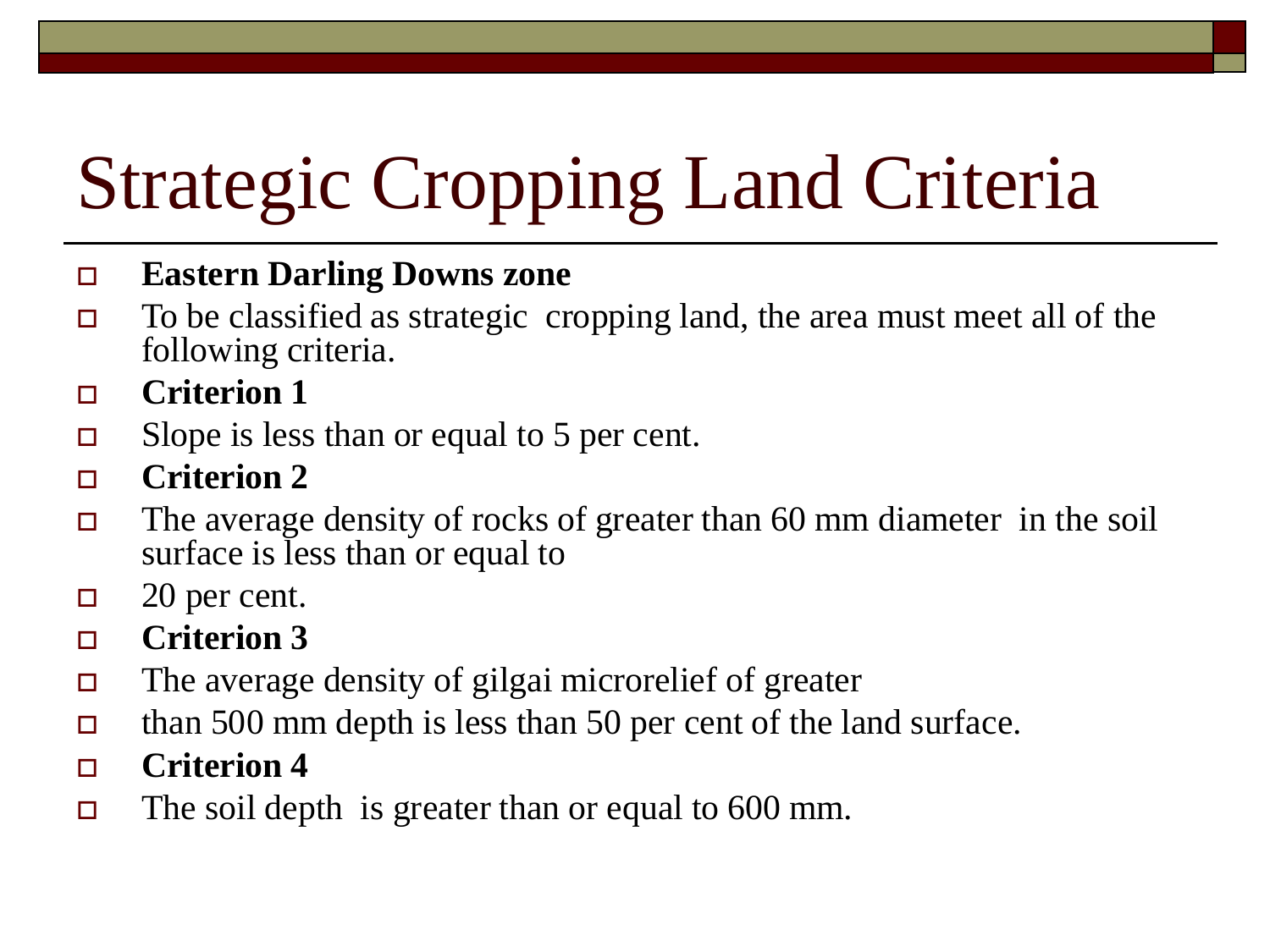# Strategic Cropping Land Criteria

#### **Eastern Darling Downs zone**

- $\Box$  To be classified as strategic cropping land, the area must meet all of the following criteria.
- **Criterion 1**
- $\Box$  Slope is less than or equal to 5 per cent.
- **Criterion 2**
- $\Box$  The average density of rocks of greater than 60 mm diameter in the soil surface is less than or equal to
- $\Box$  20 per cent.
- **Criterion 3**
- The average density of gilgai microrelief of greater
- than 500 mm depth is less than 50 per cent of the land surface.
- **Criterion 4**
- $\Box$  The soil depth is greater than or equal to 600 mm.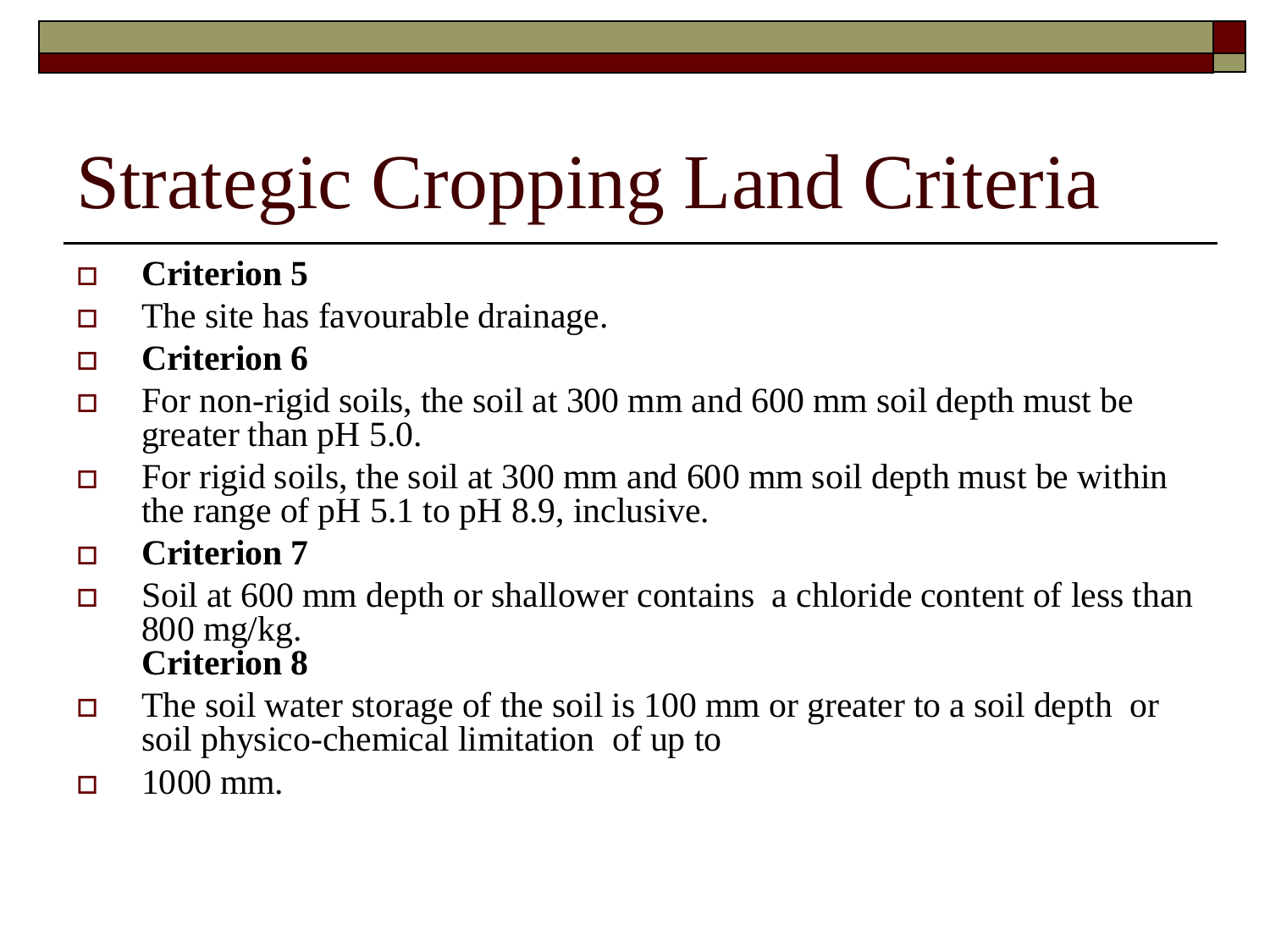# Strategic Cropping Land Criteria

- **Criterion 5**
- $\Box$  The site has favourable drainage.
- **Criterion 6**
- For non-rigid soils, the soil at 300 mm and 600 mm soil depth must be greater than pH 5.0.
- For rigid soils, the soil at 300 mm and 600 mm soil depth must be within the range of pH 5.1 to pH 8.9, inclusive.
- **Criterion 7**
- $\Box$  Soil at 600 mm depth or shallower contains a chloride content of less than 800 mg/kg. **Criterion 8**
- $\Box$  The soil water storage of the soil is 100 mm or greater to a soil depth or soil physico-chemical limitation of up to
- $\Box$  1000 mm.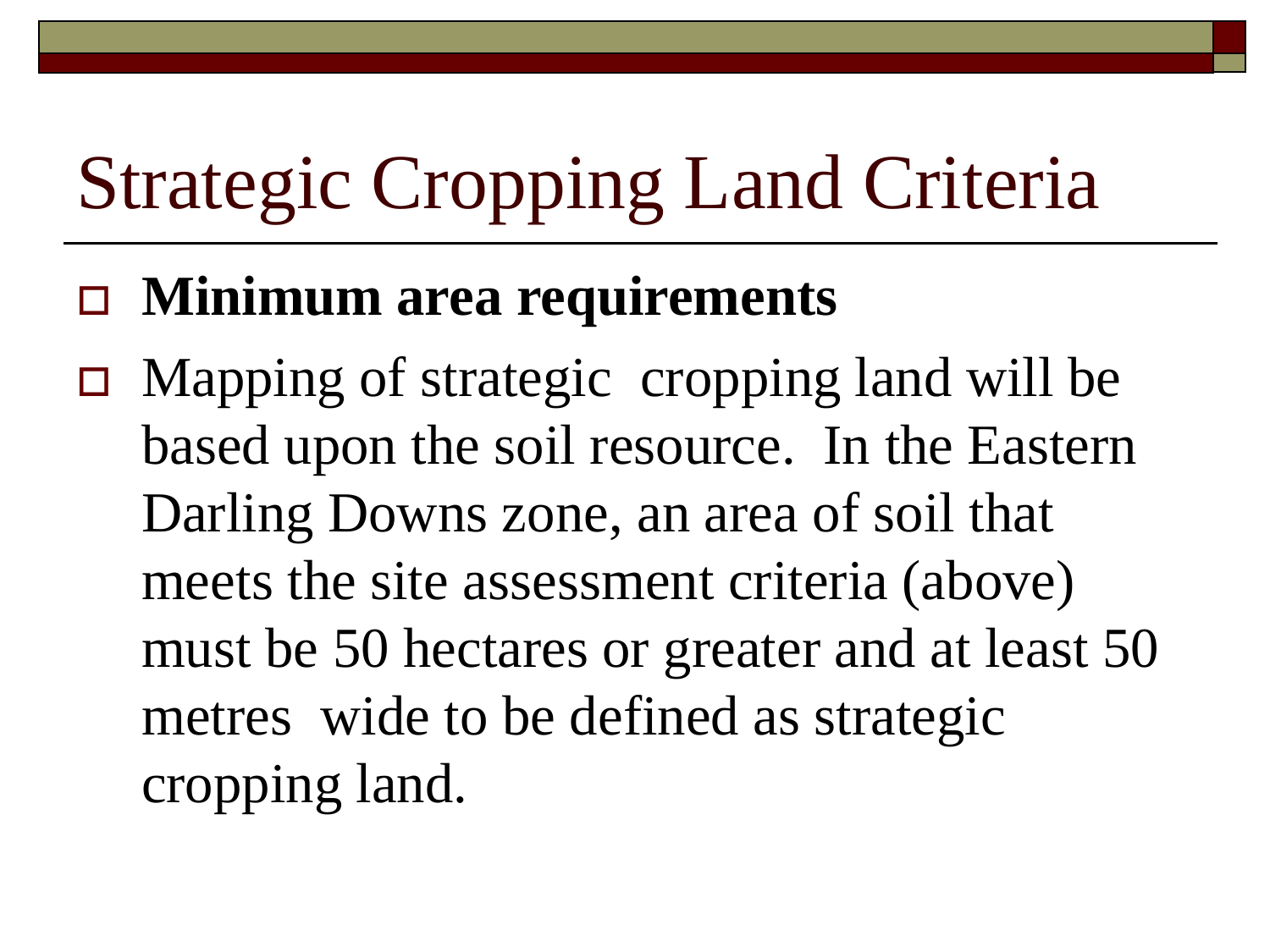# Strategic Cropping Land Criteria

#### **Minimum area requirements**

 Mapping of strategic cropping land will be based upon the soil resource. In the Eastern Darling Downs zone, an area of soil that meets the site assessment criteria (above) must be 50 hectares or greater and at least 50 metres wide to be defined as strategic cropping land.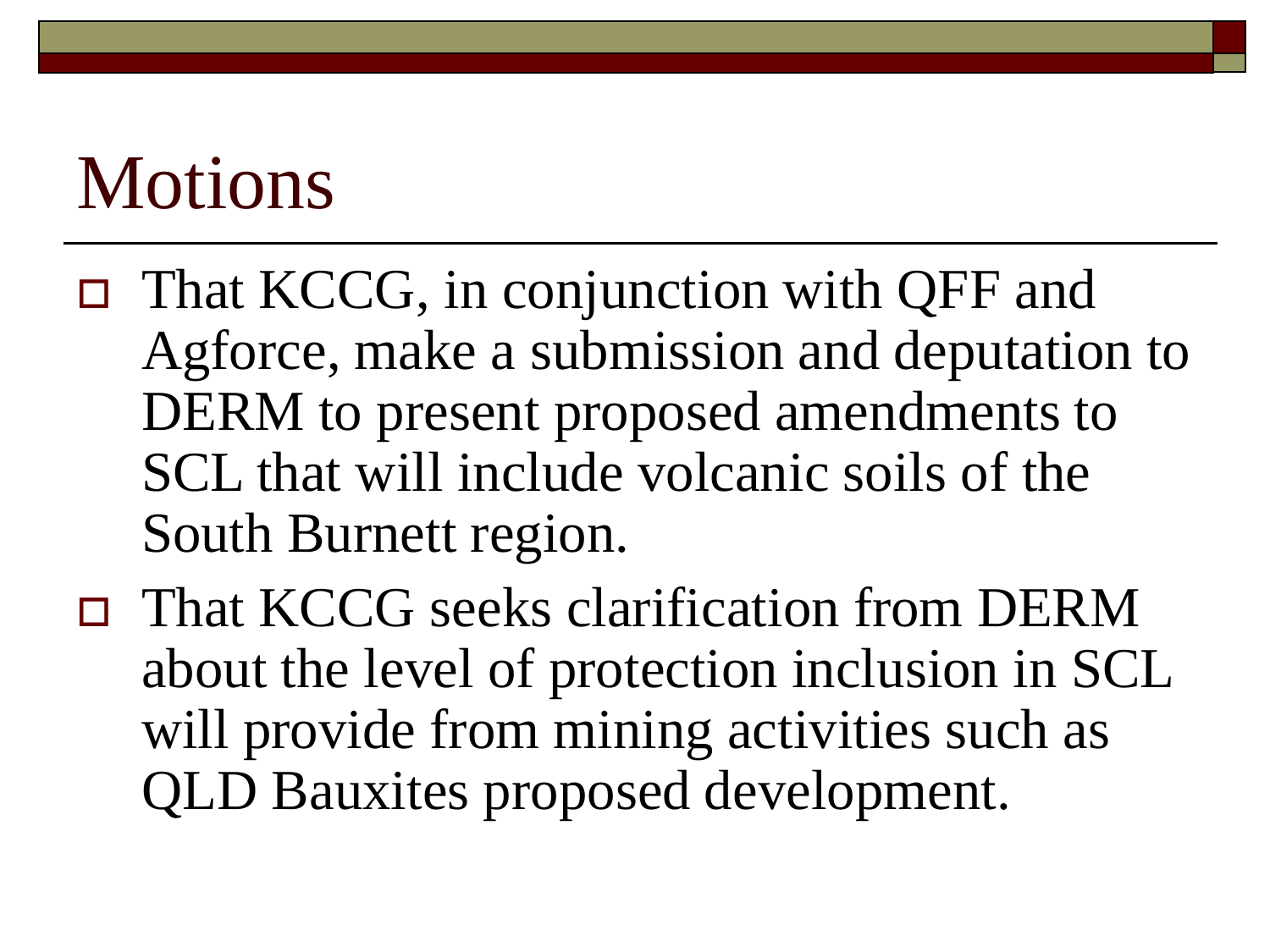### Motions

- That KCCG, in conjunction with QFF and Agforce, make a submission and deputation to DERM to present proposed amendments to SCL that will include volcanic soils of the South Burnett region.
- That KCCG seeks clarification from DERM about the level of protection inclusion in SCL will provide from mining activities such as QLD Bauxites proposed development.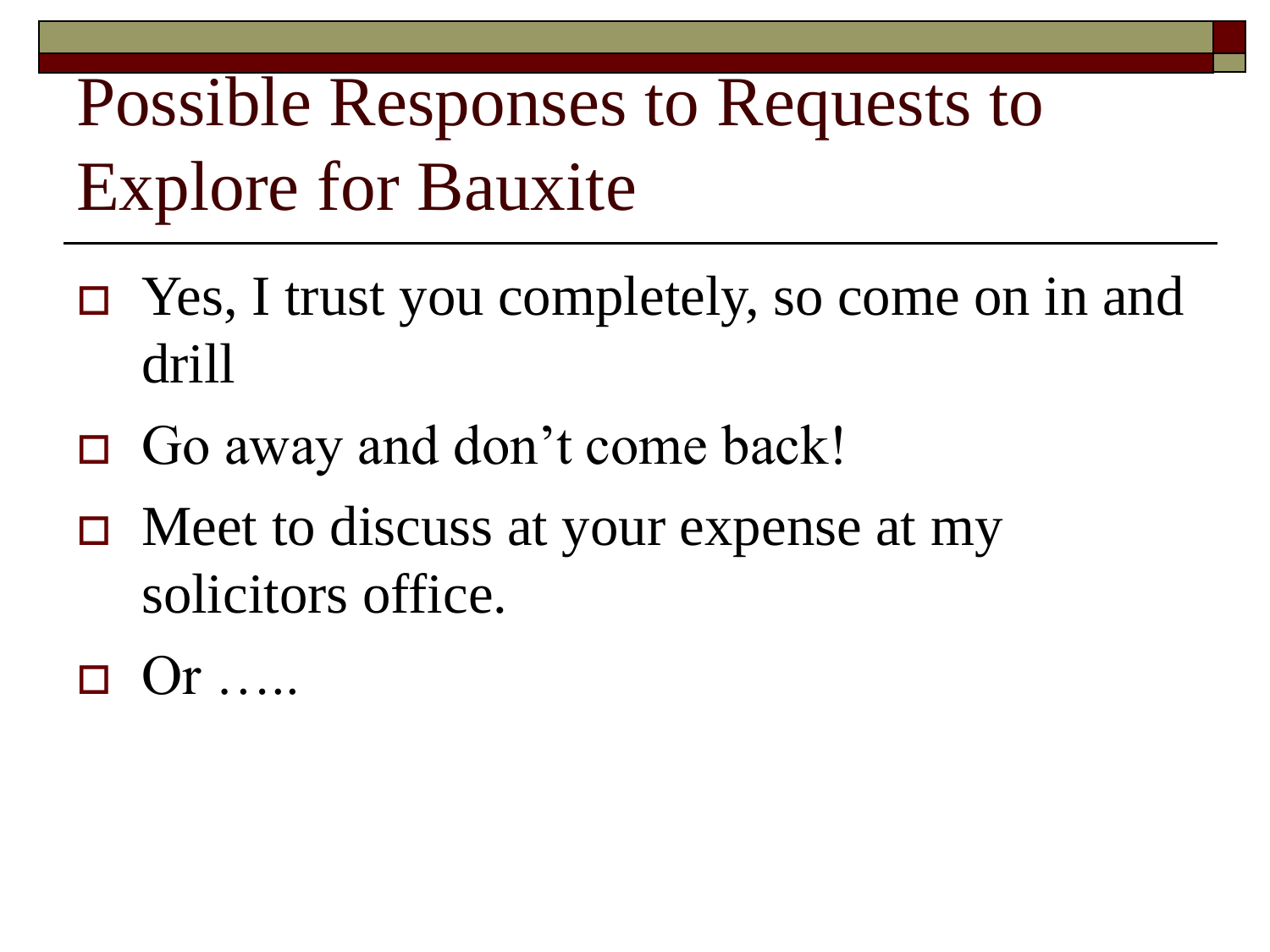- Yes, I trust you completely, so come on in and drill
- □ Go away and don't come back!
- $\Box$  Meet to discuss at your expense at my solicitors office.
- $\Box$  Or  $\Box$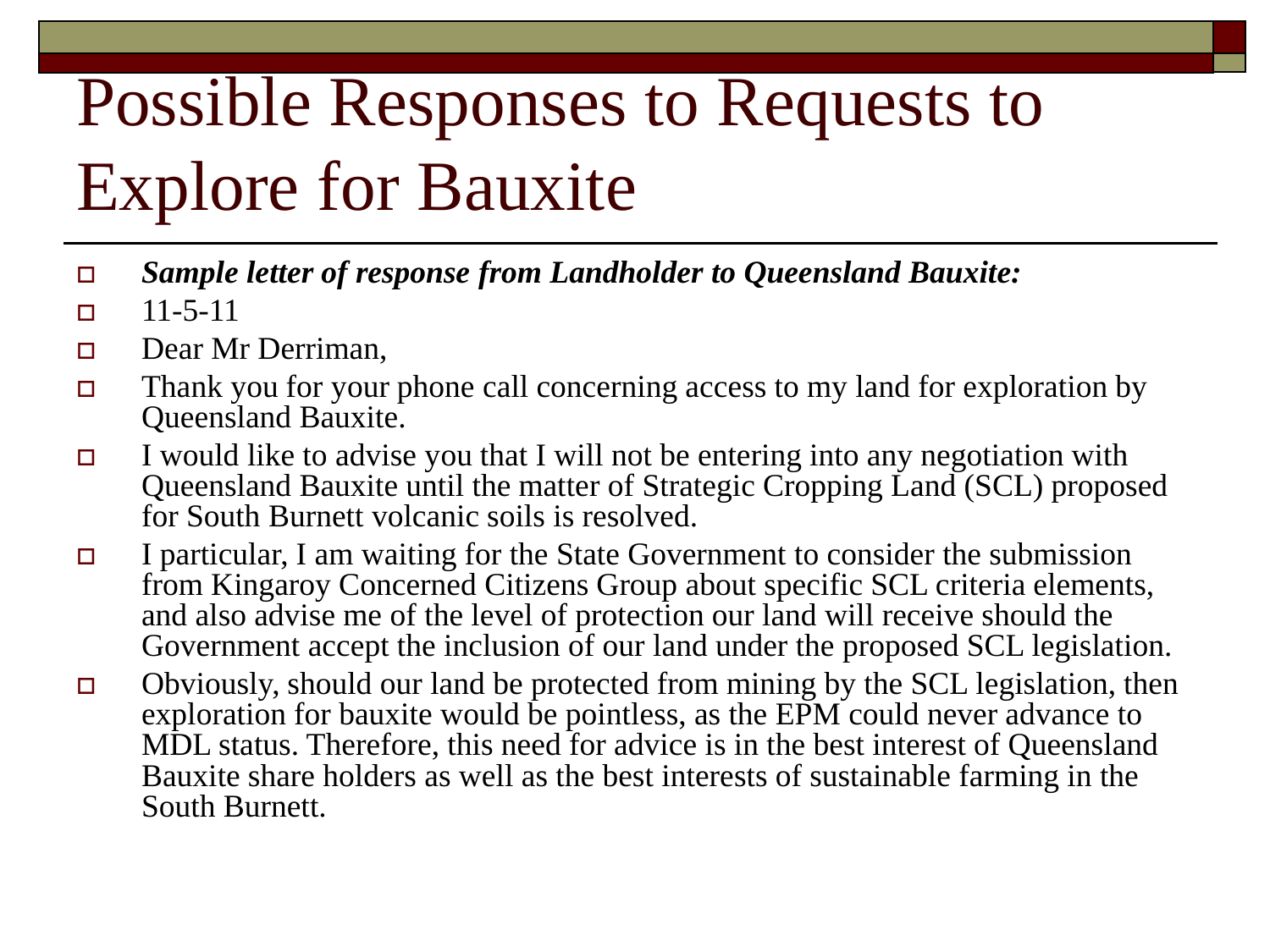- *Sample letter of response from Landholder to Queensland Bauxite:*
- $\Box$  11-5-11
- Dear Mr Derriman.
- $\Box$  Thank you for your phone call concerning access to my land for exploration by Queensland Bauxite.
- I would like to advise you that I will not be entering into any negotiation with Queensland Bauxite until the matter of Strategic Cropping Land (SCL) proposed for South Burnett volcanic soils is resolved.
- I particular, I am waiting for the State Government to consider the submission from Kingaroy Concerned Citizens Group about specific SCL criteria elements, and also advise me of the level of protection our land will receive should the Government accept the inclusion of our land under the proposed SCL legislation.
- $\Box$  Obviously, should our land be protected from mining by the SCL legislation, then exploration for bauxite would be pointless, as the EPM could never advance to MDL status. Therefore, this need for advice is in the best interest of Queensland Bauxite share holders as well as the best interests of sustainable farming in the South Burnett.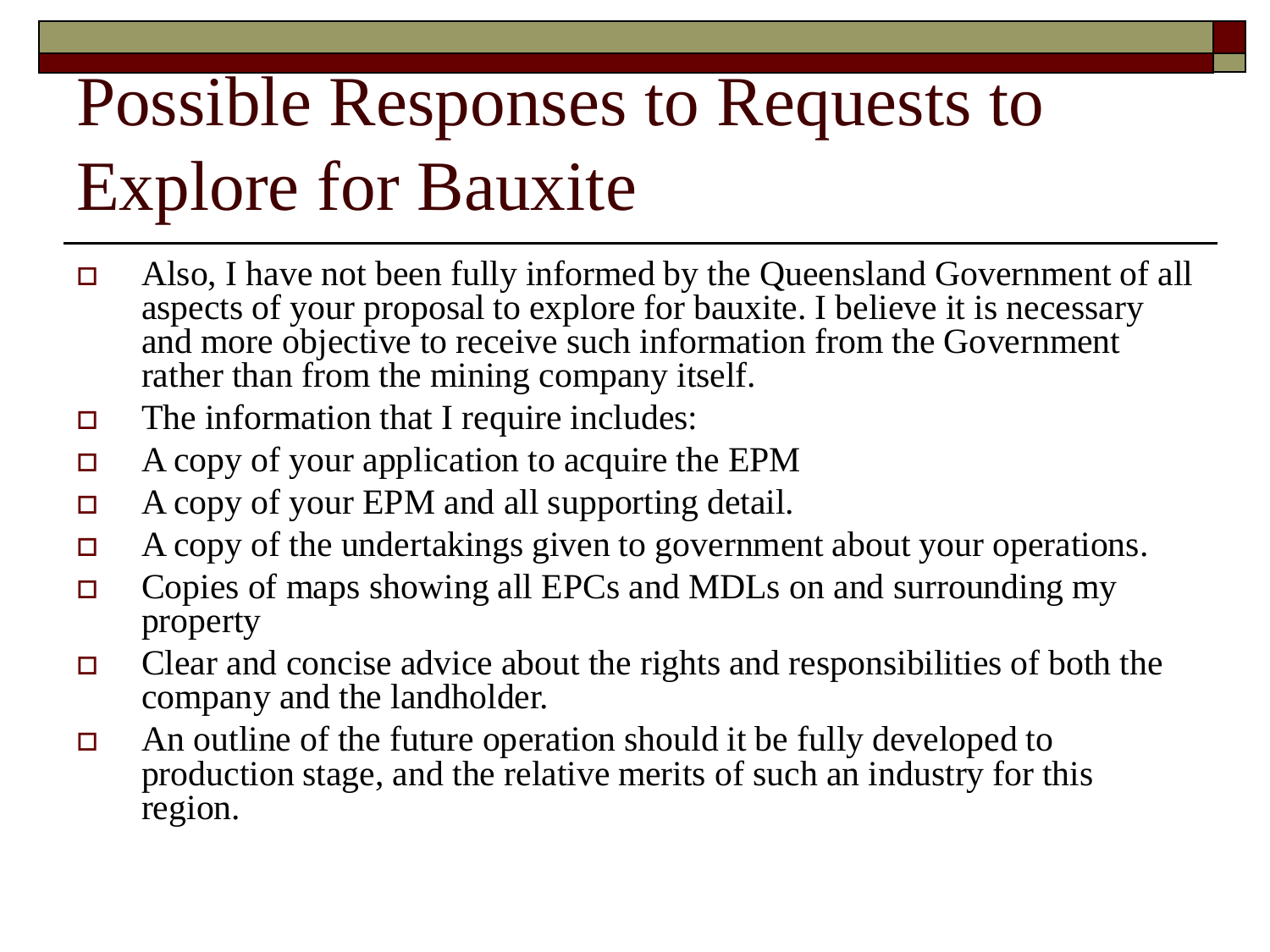- Also, I have not been fully informed by the Queensland Government of all aspects of your proposal to explore for bauxite. I believe it is necessary and more objective to receive such information from the Government rather than from the mining company itself.
- $\Box$  The information that I require includes:
- A copy of your application to acquire the EPM
- $\Box$  A copy of your EPM and all supporting detail.
- A copy of the undertakings given to government about your operations.
- □ Copies of maps showing all EPCs and MDLs on and surrounding my property
- $\Box$  Clear and concise advice about the rights and responsibilities of both the company and the landholder.
- $\Box$  An outline of the future operation should it be fully developed to production stage, and the relative merits of such an industry for this region.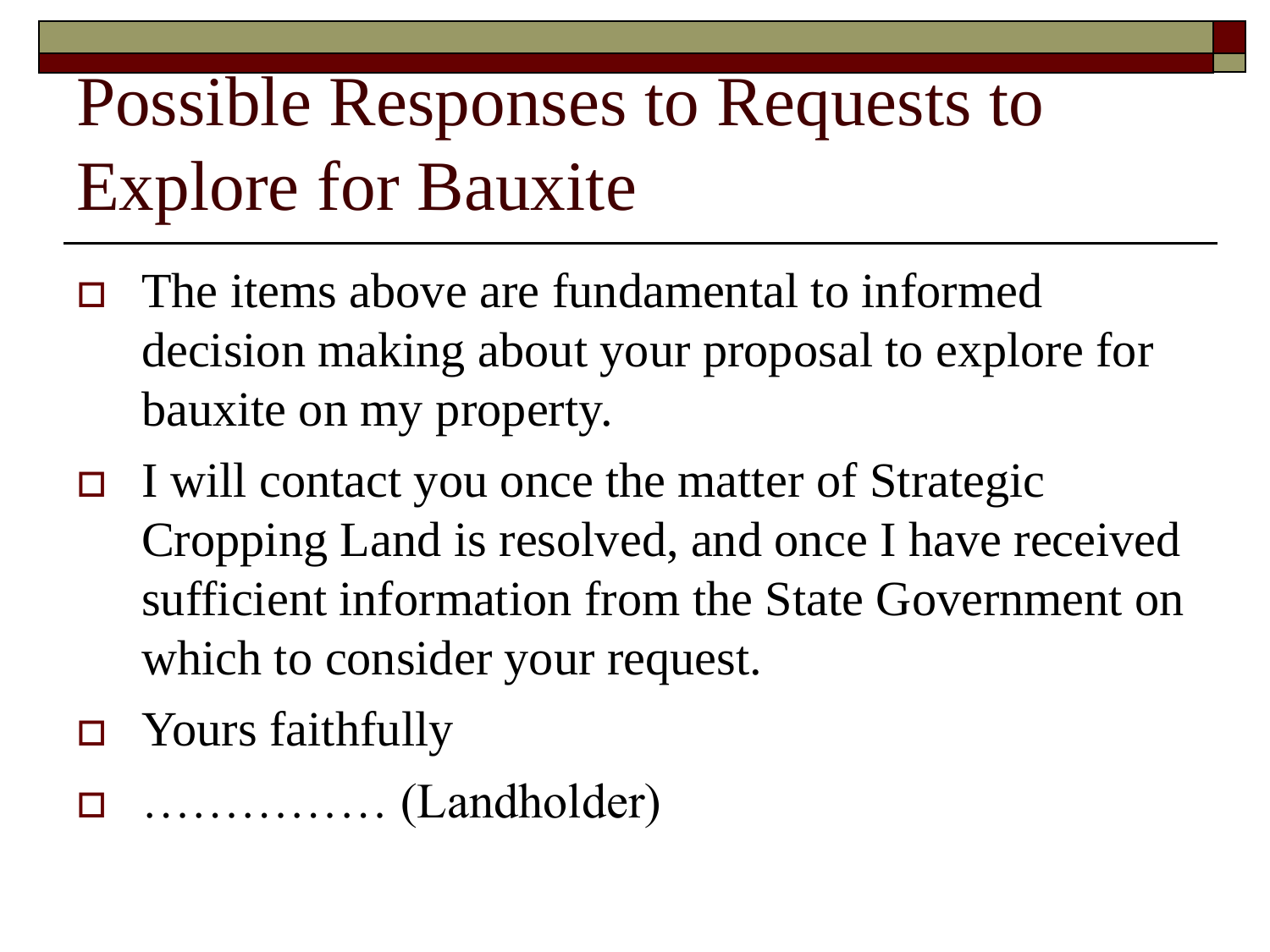- The items above are fundamental to informed decision making about your proposal to explore for bauxite on my property.
- $\Box$  I will contact you once the matter of Strategic Cropping Land is resolved, and once I have received sufficient information from the State Government on which to consider your request.
- □ Yours faithfully

…………… (Landholder)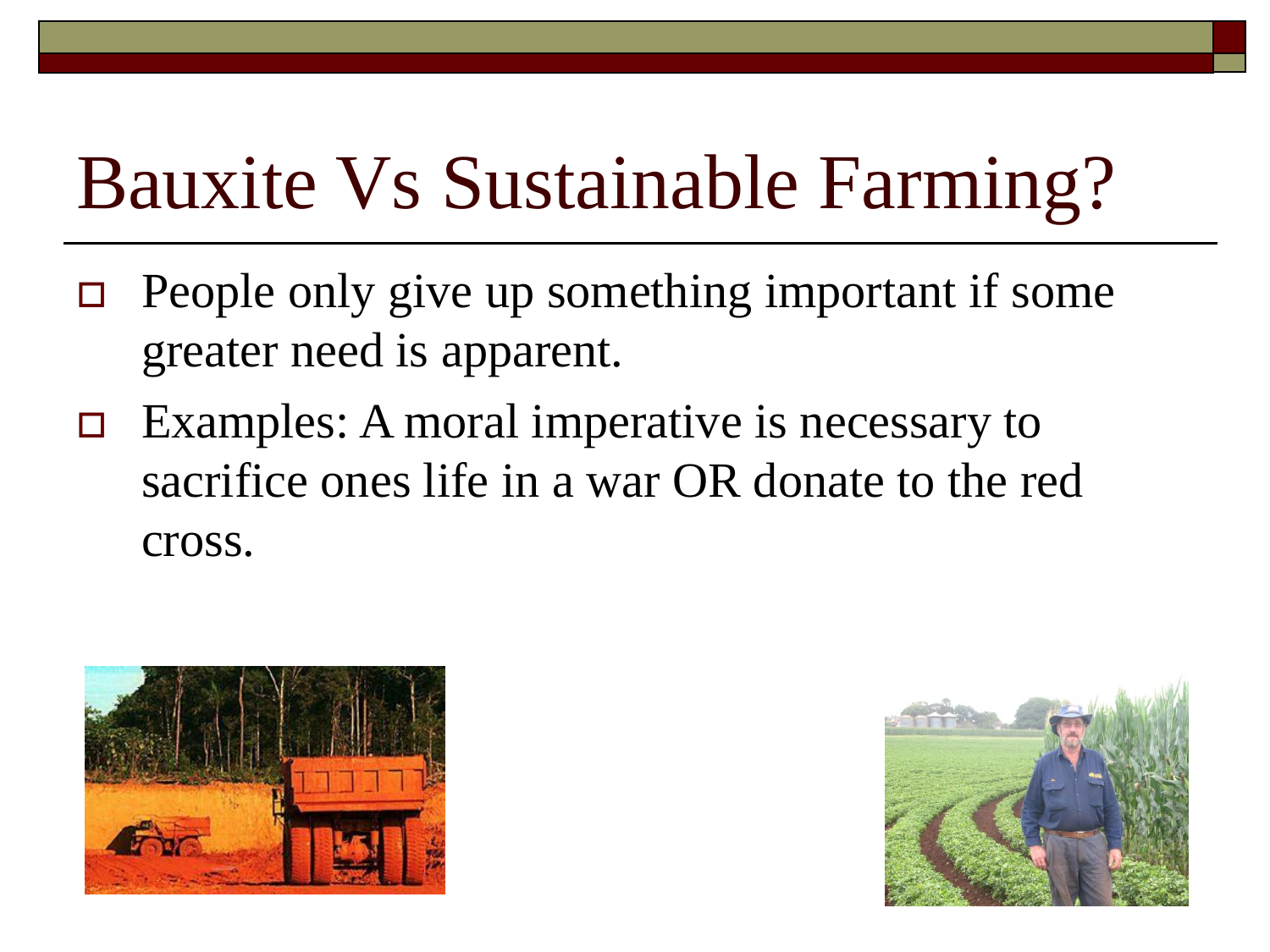- $\Box$  People only give up something important if some greater need is apparent.
- $\Box$  Examples: A moral imperative is necessary to sacrifice ones life in a war OR donate to the red cross.



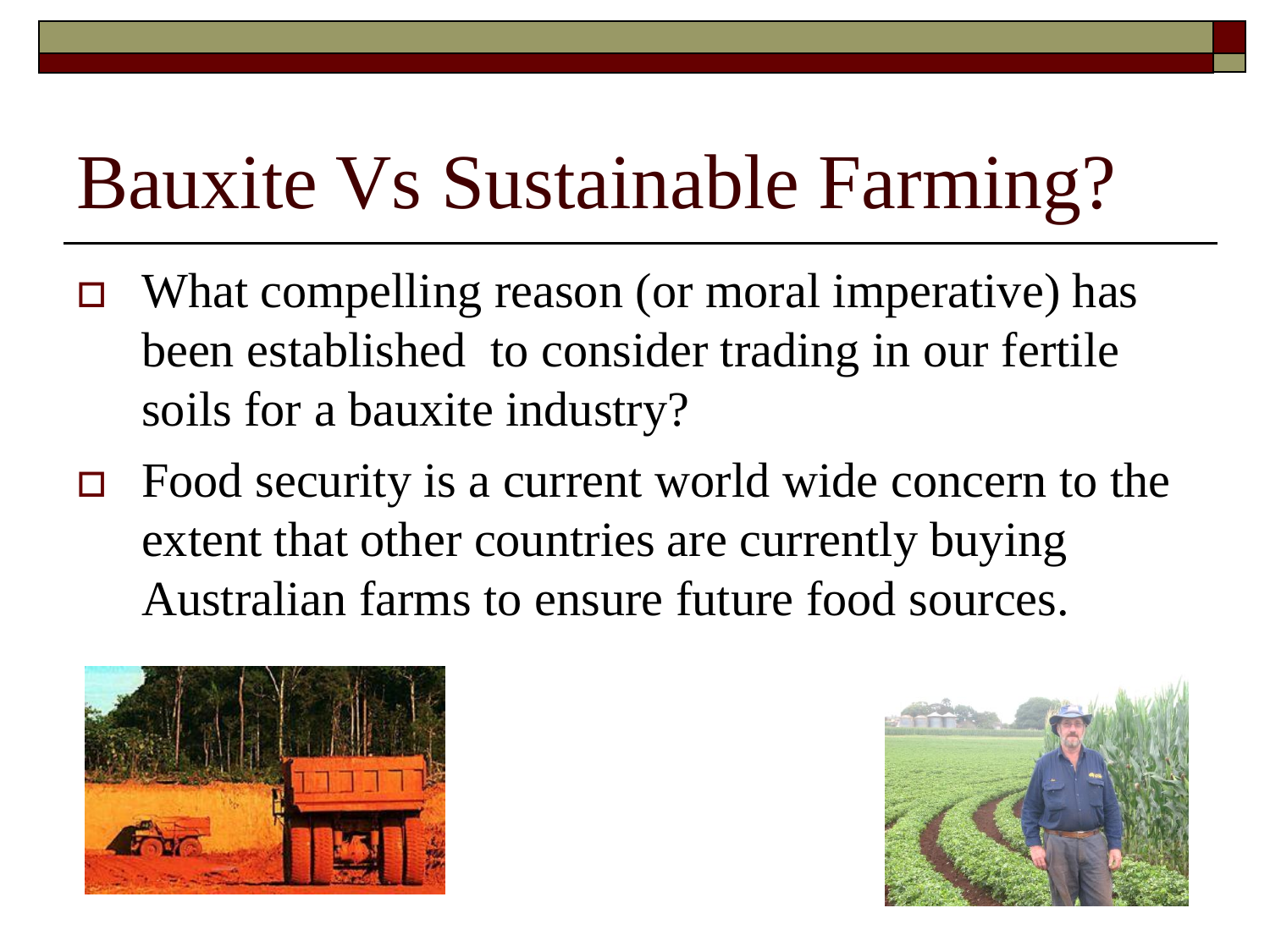- $\Box$  What compelling reason (or moral imperative) has been established to consider trading in our fertile soils for a bauxite industry?
- $\Box$  Food security is a current world wide concern to the extent that other countries are currently buying Australian farms to ensure future food sources.



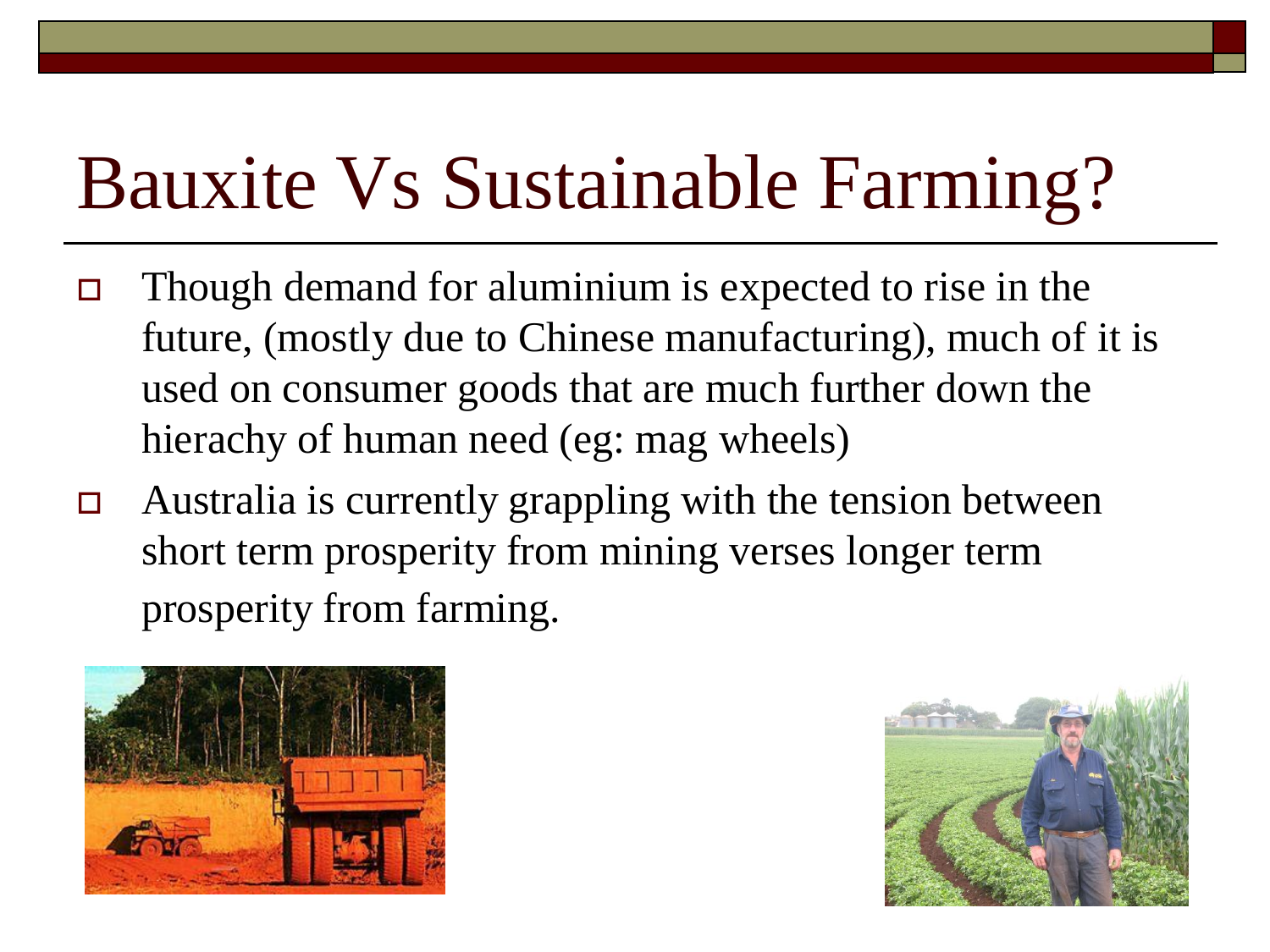- $\Box$  Though demand for aluminium is expected to rise in the future, (mostly due to Chinese manufacturing), much of it is used on consumer goods that are much further down the hierachy of human need (eg: mag wheels)
- $\Box$  Australia is currently grappling with the tension between short term prosperity from mining verses longer term prosperity from farming.



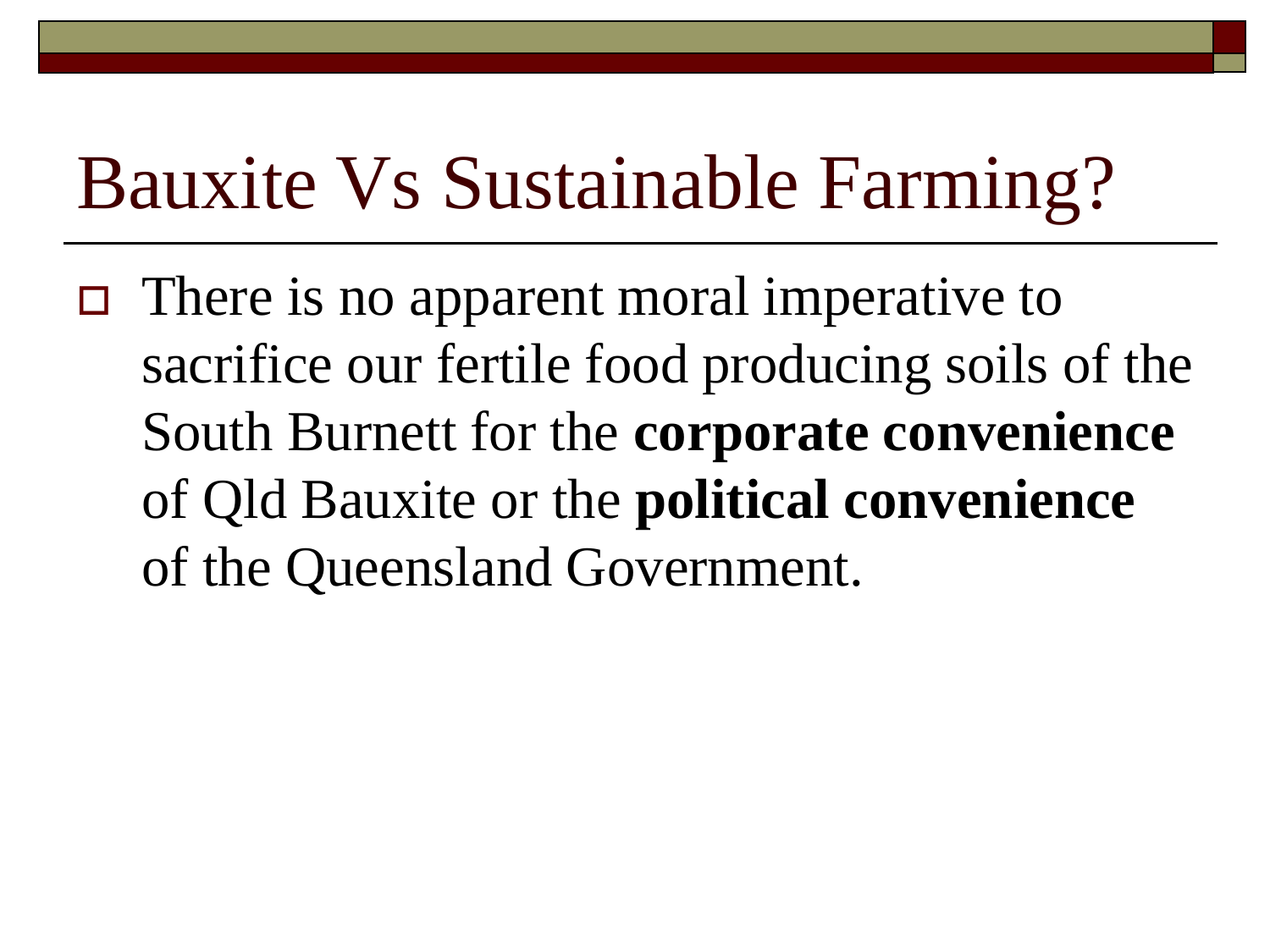$\Box$  There is no apparent moral imperative to sacrifice our fertile food producing soils of the South Burnett for the **corporate convenience** of Qld Bauxite or the **political convenience** of the Queensland Government.